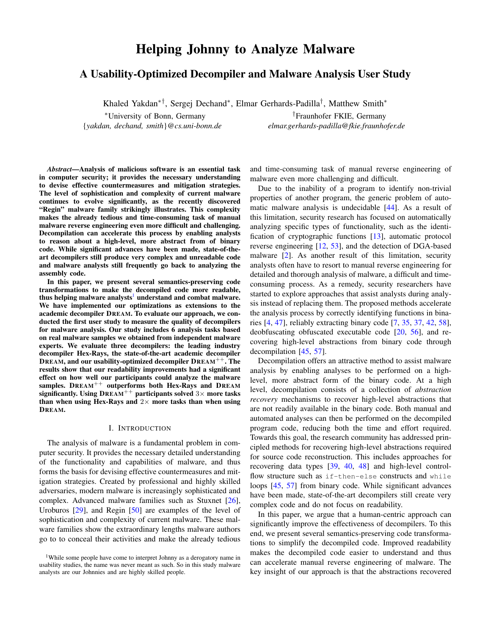# Helping Johnny to Analyze Malware

# A Usability-Optimized Decompiler and Malware Analysis User Study

Khaled Yakdan∗†, Sergej Dechand<sup>∗</sup> , Elmar Gerhards-Padilla† , Matthew Smith<sup>∗</sup>

<sup>∗</sup>University of Bonn, Germany {*yakdan, dechand, smith*}*@cs.uni-bonn.de*

†Fraunhofer FKIE, Germany *elmar.gerhards-padilla@fkie.fraunhofer.de*

*Abstract*—Analysis of malicious software is an essential task in computer security; it provides the necessary understanding to devise effective countermeasures and mitigation strategies. The level of sophistication and complexity of current malware continues to evolve significantly, as the recently discovered "Regin" malware family strikingly illustrates. This complexity makes the already tedious and time-consuming task of manual malware reverse engineering even more difficult and challenging. Decompilation can accelerate this process by enabling analysts to reason about a high-level, more abstract from of binary code. While significant advances have been made, state-of-theart decompilers still produce very complex and unreadable code and malware analysts still frequently go back to analyzing the assembly code.

In this paper, we present several semantics-preserving code transformations to make the decompiled code more readable, thus helping malware analysts<sup>[1](#page-0-0)</sup> understand and combat malware. We have implemented our optimizations as extensions to the academic decompiler DREAM. To evaluate our approach, we conducted the first user study to measure the quality of decompilers for malware analysis. Our study includes 6 analysis tasks based on real malware samples we obtained from independent malware experts. We evaluate three decompilers: the leading industry decompiler Hex-Rays, the state-of-the-art academic decompiler DREAM, and our usability-optimized decompiler  $DREAM^{++}$ . The results show that our readability improvements had a significant effect on how well our participants could analyze the malware samples.  $DREAM^{++}$  outperforms both Hex-Rays and DREAM significantly. Using  $DREAM^{++}$  participants solved  $3\times$  more tasks than when using Hex-Rays and  $2\times$  more tasks than when using DREAM.

### I. INTRODUCTION

The analysis of malware is a fundamental problem in computer security. It provides the necessary detailed understanding of the functionality and capabilities of malware, and thus forms the basis for devising effective countermeasures and mitigation strategies. Created by professional and highly skilled adversaries, modern malware is increasingly sophisticated and complex. Advanced malware families such as Stuxnet [\[26\]](#page-15-0), Uroburos [\[29\]](#page-15-1), and Regin [\[50\]](#page-15-2) are examples of the level of sophistication and complexity of current malware. These malware families show the extraordinary lengths malware authors go to to conceal their activities and make the already tedious and time-consuming task of manual reverse engineering of malware even more challenging and difficult.

Due to the inability of a program to identify non-trivial properties of another program, the generic problem of automatic malware analysis is undecidable [\[44\]](#page-15-3). As a result of this limitation, security research has focused on automatically analyzing specific types of functionality, such as the identification of cryptographic functions [\[13\]](#page-15-4), automatic protocol reverse engineering [\[12,](#page-15-5) [53\]](#page-16-0), and the detection of DGA-based malware [\[2\]](#page-15-6). As another result of this limitation, security analysts often have to resort to manual reverse engineering for detailed and thorough analysis of malware, a difficult and timeconsuming process. As a remedy, security researchers have started to explore approaches that assist analysts during analysis instead of replacing them. The proposed methods accelerate the analysis process by correctly identifying functions in binaries [\[4,](#page-15-7) [47\]](#page-15-8), reliably extracting binary code [\[7,](#page-15-9) [35,](#page-15-10) [37,](#page-15-11) [42,](#page-15-12) [58\]](#page-16-1), deobfuscating obfuscated executable code [\[20,](#page-15-13) [56\]](#page-16-2), and recovering high-level abstractions from binary code through decompilation [\[45,](#page-15-14) [57\]](#page-16-3).

Decompilation offers an attractive method to assist malware analysis by enabling analyses to be performed on a highlevel, more abstract form of the binary code. At a high level, decompilation consists of a collection of *abstraction recovery* mechanisms to recover high-level abstractions that are not readily available in the binary code. Both manual and automated analyses can then be performed on the decompiled program code, reducing both the time and effort required. Towards this goal, the research community has addressed principled methods for recovering high-level abstractions required for source code reconstruction. This includes approaches for recovering data types [\[39,](#page-15-15) [40,](#page-15-16) [48\]](#page-15-17) and high-level controlflow structure such as if-then-else constructs and while loops [\[45,](#page-15-14) [57\]](#page-16-3) from binary code. While significant advances have been made, state-of-the-art decompilers still create very complex code and do not focus on readability.

In this paper, we argue that a human-centric approach can significantly improve the effectiveness of decompilers. To this end, we present several semantics-preserving code transformations to simplify the decompiled code. Improved readability makes the decompiled code easier to understand and thus can accelerate manual reverse engineering of malware. The key insight of our approach is that the abstractions recovered

<span id="page-0-0"></span><sup>&</sup>lt;sup>1</sup>While some people have come to interpret Johnny as a derogatory name in usability studies, the name was never meant as such. So in this study malware analysts are our Johnnies and are highly skilled people.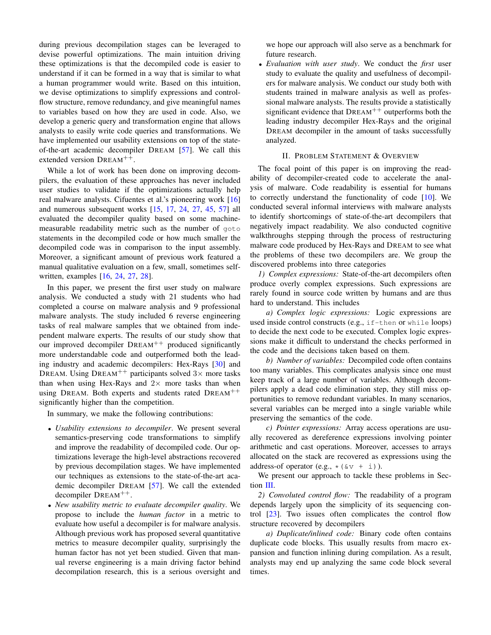during previous decompilation stages can be leveraged to devise powerful optimizations. The main intuition driving these optimizations is that the decompiled code is easier to understand if it can be formed in a way that is similar to what a human programmer would write. Based on this intuition, we devise optimizations to simplify expressions and controlflow structure, remove redundancy, and give meaningful names to variables based on how they are used in code. Also, we develop a generic query and transformation engine that allows analysts to easily write code queries and transformations. We have implemented our usability extensions on top of the stateof-the-art academic decompiler DREAM [\[57\]](#page-16-3). We call this extended version DREAM++.

While a lot of work has been done on improving decompilers, the evaluation of these approaches has never included user studies to validate if the optimizations actually help real malware analysts. Cifuentes et al.'s pioneering work [\[16\]](#page-15-18) and numerous subsequent works [\[15,](#page-15-19) [17,](#page-15-20) [24,](#page-15-21) [27,](#page-15-22) [45,](#page-15-14) [57\]](#page-16-3) all evaluated the decompiler quality based on some machinemeasurable readability metric such as the number of goto statements in the decompiled code or how much smaller the decompiled code was in comparison to the input assembly. Moreover, a significant amount of previous work featured a manual qualitative evaluation on a few, small, sometimes selfwritten, examples [\[16,](#page-15-18) [24,](#page-15-21) [27,](#page-15-22) [28\]](#page-15-23).

In this paper, we present the first user study on malware analysis. We conducted a study with 21 students who had completed a course on malware analysis and 9 professional malware analysts. The study included 6 reverse engineering tasks of real malware samples that we obtained from independent malware experts. The results of our study show that our improved decompiler  $DREAM^{++}$  produced significantly more understandable code and outperformed both the leading industry and academic decompilers: Hex-Rays [\[30\]](#page-15-24) and DREAM. Using DREAM<sup>++</sup> participants solved  $3\times$  more tasks than when using Hex-Rays and  $2\times$  more tasks than when using DREAM. Both experts and students rated  $DREAM^{++}$ significantly higher than the competition.

In summary, we make the following contributions:

- *Usability extensions to decompiler*. We present several semantics-preserving code transformations to simplify and improve the readability of decompiled code. Our optimizations leverage the high-level abstractions recovered by previous decompilation stages. We have implemented our techniques as extensions to the state-of-the-art academic decompiler DREAM [\[57\]](#page-16-3). We call the extended decompiler  $DREAM^{++}$ .
- *New usability metric to evaluate decompiler quality*. We propose to include the *human factor* in a metric to evaluate how useful a decompiler is for malware analysis. Although previous work has proposed several quantitative metrics to measure decompiler quality, surprisingly the human factor has not yet been studied. Given that manual reverse engineering is a main driving factor behind decompilation research, this is a serious oversight and

we hope our approach will also serve as a benchmark for future research.

• *Evaluation with user study*. We conduct the *first* user study to evaluate the quality and usefulness of decompilers for malware analysis. We conduct our study both with students trained in malware analysis as well as professional malware analysts. The results provide a statistically significant evidence that  $DREAM^{++}$  outperforms both the leading industry decompiler Hex-Rays and the original DREAM decompiler in the amount of tasks successfully analyzed.

#### II. PROBLEM STATEMENT & OVERVIEW

The focal point of this paper is on improving the readability of decompiler-created code to accelerate the analysis of malware. Code readability is essential for humans to correctly understand the functionality of code [\[10\]](#page-15-25). We conducted several informal interviews with malware analysts to identify shortcomings of state-of-the-art decompilers that negatively impact readability. We also conducted cognitive walkthroughs stepping through the process of restructuring malware code produced by Hex-Rays and DREAM to see what the problems of these two decompilers are. We group the discovered problems into three categories

*1) Complex expressions:* State-of-the-art decompilers often produce overly complex expressions. Such expressions are rarely found in source code written by humans and are thus hard to understand. This includes

*a) Complex logic expressions:* Logic expressions are used inside control constructs (e.g., if-then or while loops) to decide the next code to be executed. Complex logic expressions make it difficult to understand the checks performed in the code and the decisions taken based on them.

*b) Number of variables:* Decompiled code often contains too many variables. This complicates analysis since one must keep track of a large number of variables. Although decompilers apply a dead code elimination step, they still miss opportunities to remove redundant variables. In many scenarios, several variables can be merged into a single variable while preserving the semantics of the code.

*c) Pointer expressions:* Array access operations are usually recovered as dereference expressions involving pointer arithmetic and cast operations. Moreover, accesses to arrays allocated on the stack are recovered as expressions using the address-of operator (e.g.,  $\star$  ( $\&\text{v + i}$ )).

We present our approach to tackle these problems in Section [III.](#page-3-0)

*2) Convoluted control flow:* The readability of a program depends largely upon the simplicity of its sequencing control [\[23\]](#page-15-26). Two issues often complicates the control flow structure recovered by decompilers

*a) Duplicate/inlined code:* Binary code often contains duplicate code blocks. This usually results from macro expansion and function inlining during compilation. As a result, analysts may end up analyzing the same code block several times.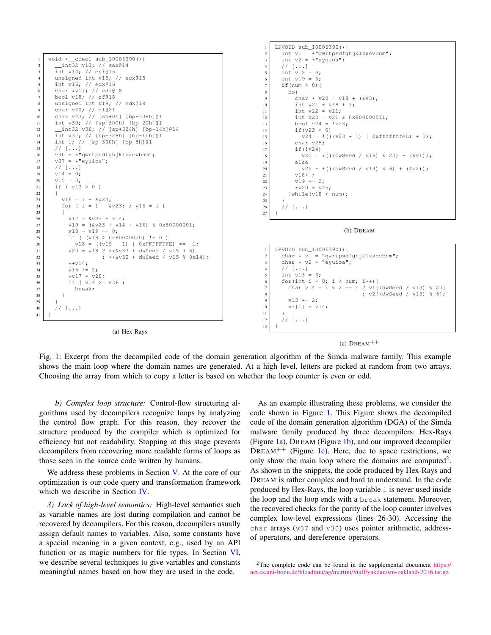<span id="page-2-2"></span><span id="page-2-1"></span><span id="page-2-0"></span>

<span id="page-2-3"></span> $(c)$  DREAM<sup>++</sup>

Fig. 1: Excerpt from the decompiled code of the domain generation algorithm of the Simda malware family. This example shows the main loop where the domain names are generated. At a high level, letters are picked at random from two arrays. Choosing the array from which to copy a letter is based on whether the loop counter is even or odd.

*b) Complex loop structure:* Control-flow structuring algorithms used by decompilers recognize loops by analyzing the control flow graph. For this reason, they recover the structure produced by the compiler which is optimized for efficiency but not readability. Stopping at this stage prevents decompilers from recovering more readable forms of loops as those seen in the source code written by humans.

We address these problems in Section [V.](#page-7-0) At the core of our optimization is our code query and transformation framework which we describe in Section [IV.](#page-5-0)

*3) Lack of high-level semantics:* High-level semantics such as variable names are lost during compilation and cannot be recovered by decompilers. For this reason, decompilers usually assign default names to variables. Also, some constants have a special meaning in a given context, e.g., used by an API function or as magic numbers for file types. In Section [VI,](#page-8-0) we describe several techniques to give variables and constants meaningful names based on how they are used in the code.

As an example illustrating these problems, we consider the code shown in Figure [1.](#page-2-0) This Figure shows the decompiled code of the domain generation algorithm (DGA) of the Simda malware family produced by three decompilers: Hex-Rays (Figure [1a\)](#page-2-1), DREAM (Figure [1b\)](#page-2-2), and our improved decompiler DREAM<sup>++</sup> (Figure [1c\)](#page-2-3). Here, due to space restrictions, we only show the main loop where the domains are computed<sup>[2](#page-2-4)</sup>. As shown in the snippets, the code produced by Hex-Rays and DREAM is rather complex and hard to understand. In the code produced by Hex-Rays, the loop variable i is never used inside the loop and the loop ends with a break statement. Moreover, the recovered checks for the parity of the loop counter involves complex low-level expressions (lines 26-30). Accessing the char arrays (v37 and v30) uses pointer arithmetic, addressof operators, and dereference operators.

<span id="page-2-4"></span><sup>2</sup>The complete code can be found in the supplemental document  $\frac{https://}{https://}$  $\frac{https://}{https://}$  $\frac{https://}{https://}$ [net.cs.uni-bonn.de/fileadmin/ag/martini/Staff/yakdan/sm-oakland-2016.tar.gz](https://net.cs.uni-bonn.de/fileadmin/ag/martini/Staff/yakdan/sm-oakland-2016.tar.gz)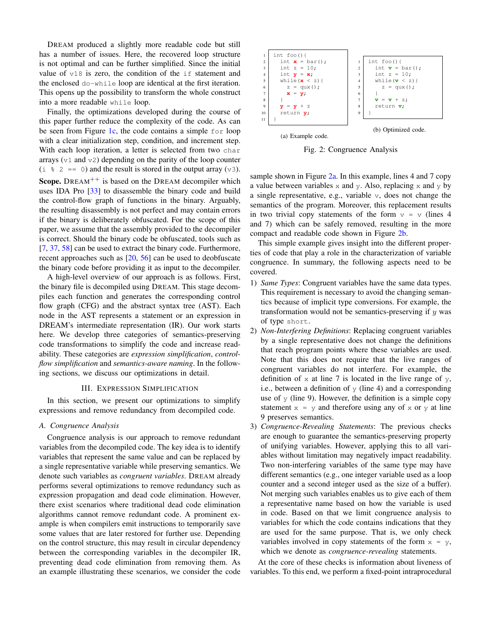DREAM produced a slightly more readable code but still has a number of issues. Here, the recovered loop structure is not optimal and can be further simplified. Since the initial value of v18 is zero, the condition of the if statement and the enclosed do-while loop are identical at the first iteration. This opens up the possibility to transform the whole construct into a more readable while loop.

Finally, the optimizations developed during the course of this paper further reduce the complexity of the code. As can be seen from Figure [1c,](#page-2-3) the code contains a simple  $f \circ r$  loop with a clear initialization step, condition, and increment step. With each loop iteration, a letter is selected from two char arrays ( $v1$  and  $v2$ ) depending on the parity of the loop counter  $(i \text{ } \text{\&} 2 == 0)$  and the result is stored in the output array  $(v3)$ . Scope. DREAM<sup>++</sup> is based on the DREAM decompiler which uses IDA Pro [\[33\]](#page-15-27) to disassemble the binary code and build the control-flow graph of functions in the binary. Arguably, the resulting disassembly is not perfect and may contain errors if the binary is deliberately obfuscated. For the scope of this paper, we assume that the assembly provided to the decompiler is correct. Should the binary code be obfuscated, tools such as [\[7,](#page-15-9) [37,](#page-15-11) [58\]](#page-16-1) can be used to extract the binary code. Furthermore, recent approaches such as [\[20,](#page-15-13) [56\]](#page-16-2) can be used to deobfuscate the binary code before providing it as input to the decompiler.

A high-level overview of our approach is as follows. First, the binary file is decompiled using DREAM. This stage decompiles each function and generates the corresponding control flow graph (CFG) and the abstract syntax tree (AST). Each node in the AST represents a statement or an expression in DREAM's intermediate representation (IR). Our work starts here. We develop three categories of semantics-preserving code transformations to simplify the code and increase readability. These categories are *expression simplification*, *controlflow simplification* and *semantics-aware naming*. In the following sections, we discuss our optimizations in detail.

### III. EXPRESSION SIMPLIFICATION

<span id="page-3-0"></span>In this section, we present our optimizations to simplify expressions and remove redundancy from decompiled code.

#### *A. Congruence Analysis*

Congruence analysis is our approach to remove redundant variables from the decompiled code. The key idea is to identify variables that represent the same value and can be replaced by a single representative variable while preserving semantics. We denote such variables as *congruent variables*. DREAM already performs several optimizations to remove redundancy such as expression propagation and dead code elimination. However, there exist scenarios where traditional dead code elimination algorithms cannot remove redundant code. A prominent example is when compilers emit instructions to temporarily save some values that are later restored for further use. Depending on the control structure, this may result in circular dependency between the corresponding variables in the decompiler IR, preventing dead code elimination from removing them. As an example illustrating these scenarios, we consider the code

<span id="page-3-1"></span>![](_page_3_Figure_7.jpeg)

<span id="page-3-2"></span>Fig. 2: Congruence Analysis

sample shown in Figure  $2a$ . In this example, lines 4 and 7 copy a value between variables  $x$  and  $y$ . Also, replacing  $x$  and  $y$  by a single representative, e.g., variable v, does not change the semantics of the program. Moreover, this replacement results in two trivial copy statements of the form  $v = v$  (lines 4 and 7) which can be safely removed, resulting in the more compact and readable code shown in Figure [2b.](#page-3-2)

This simple example gives insight into the different properties of code that play a role in the characterization of variable congruence. In summary, the following aspects need to be covered.

- 1) *Same Types*: Congruent variables have the same data types. This requirement is necessary to avoid the changing semantics because of implicit type conversions. For example, the transformation would not be semantics-preserving if  $y$  was of type short.
- 2) *Non-Interfering Definitions*: Replacing congruent variables by a single representative does not change the definitions that reach program points where these variables are used. Note that this does not require that the live ranges of congruent variables do not interfere. For example, the definition of  $x$  at line 7 is located in the live range of  $y$ , i.e., between a definition of  $\gamma$  (line 4) and a corresponding use of  $\gamma$  (line 9). However, the definition is a simple copy statement  $x = y$  and therefore using any of x or y at line 9 preserves semantics.
- 3) *Congruence-Revealing Statements*: The previous checks are enough to guarantee the semantics-preserving property of unifying variables. However, applying this to all variables without limitation may negatively impact readability. Two non-interfering variables of the same type may have different semantics (e.g., one integer variable used as a loop counter and a second integer used as the size of a buffer). Not merging such variables enables us to give each of them a representative name based on how the variable is used in code. Based on that we limit congruence analysis to variables for which the code contains indications that they are used for the same purpose. That is, we only check variables involved in copy statements of the form  $x = y$ , which we denote as *congruence-revealing* statements.

At the core of these checks is information about liveness of variables. To this end, we perform a fixed-point intraprocedural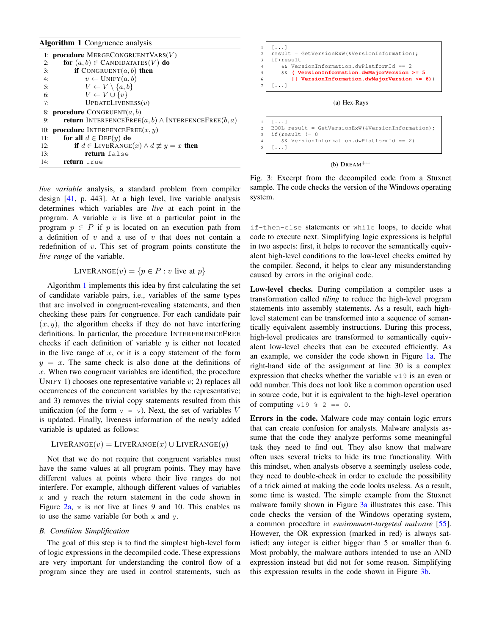## <span id="page-4-0"></span>Algorithm 1 Congruence analysis

|     | 1: <b>procedure</b> MERGECONGRUENTVARS $(V)$                         |
|-----|----------------------------------------------------------------------|
| 2:  | for $(a, b) \in$ CANDIDATATES(V) do                                  |
| 3:  | <b>if</b> CONGRUENT $(a, b)$ then                                    |
| 4:  | $v \leftarrow \text{UNIFY}(a, b)$                                    |
| 5:  | $V \leftarrow V \setminus \{a, b\}$                                  |
| 6:  | $V \leftarrow V \cup \{v\}$                                          |
| 7:  | UPDATEIVENESS(v)                                                     |
|     | 8: <b>procedure</b> CONGRUENT $(a, b)$                               |
| 9:  | <b>return</b> INTERFENCEFREE $(a, b) \wedge$ INTERFENCEFREE $(b, a)$ |
|     | 10: <b>procedure</b> INTERFENCEFREE $(x, y)$                         |
| 11: | for all $d \in \text{DEF}(y)$ do                                     |
| 12: | if $d \in$ LIVERANGE $(x) \wedge d \not\equiv y = x$ then            |
| 13: | <b>return</b> false                                                  |
| 14: | return true                                                          |

*live variable* analysis, a standard problem from compiler design [\[41,](#page-15-28) p. 443]. At a high level, live variable analysis determines which variables are *live* at each point in the program. A variable  $v$  is live at a particular point in the program  $p \in P$  if p is located on an execution path from a definition of  $v$  and a use of  $v$  that does not contain a redefinition of  $v$ . This set of program points constitute the *live range* of the variable.

LIVERANGE $(v) = \{p \in P : v \text{ live at } p\}$ 

Algorithm [1](#page-4-0) implements this idea by first calculating the set of candidate variable pairs, i.e., variables of the same types that are involved in congruent-revealing statements, and then checking these pairs for congruence. For each candidate pair  $(x, y)$ , the algorithm checks if they do not have interfering definitions. In particular, the procedure INTERFERENCEFREE checks if each definition of variable  $y$  is either not located in the live range of  $x$ , or it is a copy statement of the form  $y = x$ . The same check is also done at the definitions of  $x$ . When two congruent variables are identified, the procedure UNIFY 1) chooses one representative variable  $v$ ; 2) replaces all occurrences of the concurrent variables by the representative; and 3) removes the trivial copy statements resulted from this unification (of the form  $v = v$ ). Next, the set of variables V is updated. Finally, liveness information of the newly added variable is updated as follows:

$$
LIVERANCE(v) = LIVERANCE(x) \cup LIVERANGE(y)
$$

Not that we do not require that congruent variables must have the same values at all program points. They may have different values at points where their live ranges do not interfere. For example, although different values of variables x and y reach the return statement in the code shown in Figure  $2a$ , x is not live at lines 9 and 10. This enables us to use the same variable for both  $x$  and  $y$ .

#### *B. Condition Simplification*

The goal of this step is to find the simplest high-level form of logic expressions in the decompiled code. These expressions are very important for understanding the control flow of a program since they are used in control statements, such as

<span id="page-4-1"></span>![](_page_4_Figure_9.jpeg)

(b)  $D$ REAM<sup>++</sup>

<span id="page-4-2"></span>Fig. 3: Excerpt from the decompiled code from a Stuxnet sample. The code checks the version of the Windows operating system.

if-then-else statements or while loops, to decide what code to execute next. Simplifying logic expressions is helpful in two aspects: first, it helps to recover the semantically equivalent high-level conditions to the low-level checks emitted by the compiler. Second, it helps to clear any misunderstanding caused by errors in the original code.

Low-level checks. During compilation a compiler uses a transformation called *tiling* to reduce the high-level program statements into assembly statements. As a result, each highlevel statement can be transformed into a sequence of semantically equivalent assembly instructions. During this process, high-level predicates are transformed to semantically equivalent low-level checks that can be executed efficiently. As an example, we consider the code shown in Figure [1a.](#page-2-1) The right-hand side of the assignment at line 30 is a complex expression that checks whether the variable v19 is an even or odd number. This does not look like a common operation used in source code, but it is equivalent to the high-level operation of computing  $v19 \div 2 == 0$ .

Errors in the code. Malware code may contain logic errors that can create confusion for analysts. Malware analysts assume that the code they analyze performs some meaningful task they need to find out. They also know that malware often uses several tricks to hide its true functionality. With this mindset, when analysts observe a seemingly useless code, they need to double-check in order to exclude the possibility of a trick aimed at making the code looks useless. As a result, some time is wasted. The simple example from the Stuxnet malware family shown in Figure [3a](#page-4-1) illustrates this case. This code checks the version of the Windows operating system, a common procedure in *environment-targeted malware* [\[55\]](#page-16-4). However, the OR expression (marked in red) is always satisfied; any integer is either bigger than 5 or smaller than 6. Most probably, the malware authors intended to use an AND expression instead but did not for some reason. Simplifying this expression results in the code shown in Figure [3b.](#page-4-2)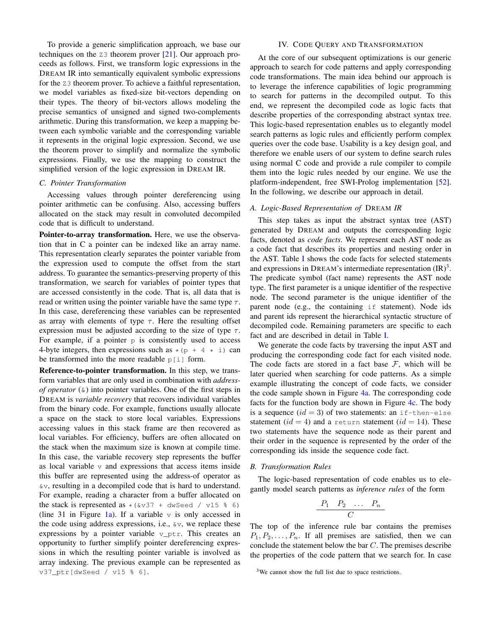To provide a generic simplification approach, we base our techniques on the  $z_3$  theorem prover [\[21\]](#page-15-29). Our approach proceeds as follows. First, we transform logic expressions in the DREAM IR into semantically equivalent symbolic expressions for the Z3 theorem prover. To achieve a faithful representation, we model variables as fixed-size bit-vectors depending on their types. The theory of bit-vectors allows modeling the precise semantics of unsigned and signed two-complements arithmetic. During this transformation, we keep a mapping between each symbolic variable and the corresponding variable it represents in the original logic expression. Second, we use the theorem prover to simplify and normalize the symbolic expressions. Finally, we use the mapping to construct the simplified version of the logic expression in DREAM IR.

## *C. Pointer Transformation*

Accessing values through pointer dereferencing using pointer arithmetic can be confusing. Also, accessing buffers allocated on the stack may result in convoluted decompiled code that is difficult to understand.

Pointer-to-array transformation. Here, we use the observation that in C a pointer can be indexed like an array name. This representation clearly separates the pointer variable from the expression used to compute the offset from the start address. To guarantee the semantics-preserving property of this transformation, we search for variables of pointer types that are accessed consistently in the code. That is, all data that is read or written using the pointer variable have the same type  $\tau$ . In this case, dereferencing these variables can be represented as array with elements of type  $\tau$ . Here the resulting offset expression must be adjusted according to the size of type  $\tau$ . For example, if a pointer  $p$  is consistently used to access 4-byte integers, then expressions such as  $*(p + 4 \times i)$  can be transformed into the more readable  $p[i]$  form.

Reference-to-pointer transformation. In this step, we transform variables that are only used in combination with *addressof operator* (&) into pointer variables. One of the first steps in DREAM is *variable recovery* that recovers individual variables from the binary code. For example, functions usually allocate a space on the stack to store local variables. Expressions accessing values in this stack frame are then recovered as local variables. For efficiency, buffers are often allocated on the stack when the maximum size is known at compile time. In this case, the variable recovery step represents the buffer as local variable  $\nu$  and expressions that access items inside this buffer are represented using the address-of operator as &v, resulting in a decompiled code that is hard to understand. For example, reading a character from a buffer allocated on the stack is represented as  $\star$  (&v37 + dwSeed / v15  $\textdegree$  6) (line 31 in Figure [1a\)](#page-2-1). If a variable  $\nu$  is only accessed in the code using address expressions, i.e.,  $\&v$ , we replace these expressions by a pointer variable v\_ptr. This creates an opportunity to further simplify pointer dereferencing expressions in which the resulting pointer variable is involved as array indexing. The previous example can be represented as v37\_ptr[dwSeed / v15 % 6].

## IV. CODE QUERY AND TRANSFORMATION

<span id="page-5-0"></span>At the core of our subsequent optimizations is our generic approach to search for code patterns and apply corresponding code transformations. The main idea behind our approach is to leverage the inference capabilities of logic programming to search for patterns in the decompiled output. To this end, we represent the decompiled code as logic facts that describe properties of the corresponding abstract syntax tree. This logic-based representation enables us to elegantly model search patterns as logic rules and efficiently perform complex queries over the code base. Usability is a key design goal, and therefore we enable users of our system to define search rules using normal C code and provide a rule compiler to compile them into the logic rules needed by our engine. We use the platform-independent, free SWI-Prolog implementation [\[52\]](#page-16-5). In the following, we describe our approach in detail.

## *A. Logic-Based Representation of* DREAM *IR*

This step takes as input the abstract syntax tree (AST) generated by DREAM and outputs the corresponding logic facts, denoted as *code facts*. We represent each AST node as a code fact that describes its properties and nesting order in the AST. Table [I](#page-6-0) shows the code facts for selected statements and expressions in DREAM's intermediate representation  $(IR)^3$  $(IR)^3$ . The predicate symbol (fact name) represents the AST node type. The first parameter is a unique identifier of the respective node. The second parameter is the unique identifier of the parent node (e.g., the containing if statement). Node ids and parent ids represent the hierarchical syntactic structure of decompiled code. Remaining parameters are specific to each fact and are described in detail in Table [I.](#page-6-0)

We generate the code facts by traversing the input AST and producing the corresponding code fact for each visited node. The code facts are stored in a fact base  $F$ , which will be later queried when searching for code patterns. As a simple example illustrating the concept of code facts, we consider the code sample shown in Figure [4a.](#page-6-1) The corresponding code facts for the function body are shown in Figure [4c.](#page-6-2) The body is a sequence  $(id = 3)$  of two statements: an if-then-else statement ( $id = 4$ ) and a return statement ( $id = 14$ ). These two statements have the sequence node as their parent and their order in the sequence is represented by the order of the corresponding ids inside the sequence code fact.

#### *B. Transformation Rules*

The logic-based representation of code enables us to elegantly model search patterns as *inference rules* of the form

$$
\begin{array}{cccc}\nP_1 & P_2 & \dots & P_n \\
\hline\nC & & & \n\end{array}
$$

The top of the inference rule bar contains the premises  $P_1, P_2, \ldots, P_n$ . If all premises are satisfied, then we can conclude the statement below the bar  $C$ . The premises describe the properties of the code pattern that we search for. In case

<span id="page-5-1"></span><sup>&</sup>lt;sup>3</sup>We cannot show the full list due to space restrictions.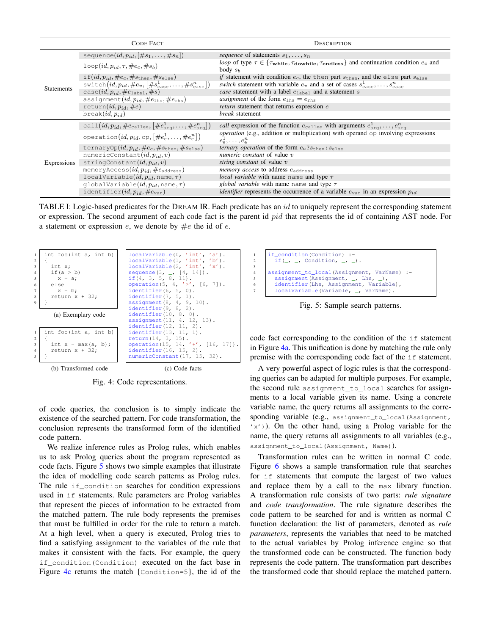<span id="page-6-0"></span>

|                   | <b>CODE FACT</b>                                                                           | <b>DESCRIPTION</b>                                                                                                                                      |
|-------------------|--------------------------------------------------------------------------------------------|---------------------------------------------------------------------------------------------------------------------------------------------------------|
|                   | sequence $(id, p_{id}, [\#s_1, \ldots, \#s_n])$                                            | sequence of statements $s_1, \ldots, s_n$                                                                                                               |
|                   | $loop(id, p_{id}, \tau, \#e_c, \#s_b)$                                                     | loop of type $\tau \in {\tau_{\textbf{while}}}, {\tau_{\textbf{double}}}, {\tau_{\textbf{endless}}}$ and continuation condition $e_c$ and<br>body $s_h$ |
|                   | if(id, $p_{id}$ , $\#e_c$ , $\#s_{\text{then}}$ , $\#s_{\text{else}}$ )                    | <i>if</i> statement with condition $e_c$ , the then part $s_{\text{then}}$ , and the else part $s_{\text{else}}$                                        |
| <b>Statements</b> | switch $(id, p_{id}, \#e_v, [\#s_{\text{case}}^1, \ldots, \#s_{\text{case}}^n])$           | switch statement with variable $e_v$ and a set of cases $s^1_{\text{cscat}}$ , , $s^n_{\text{cscat}}$                                                   |
|                   | $case(id, p_{id}, \#e_{label}, \#s)$                                                       | case statement with a label $e_{\text{label}}$ and a statement s                                                                                        |
|                   | assignment $(id, p_{id}, \#e_{\text{lhs}}, \#e_{\text{rhs}})$                              | <i>assignment</i> of the form $e_{\text{1hs}} = e_{\text{rhs}}$                                                                                         |
|                   | return $(id, p_{id}, \#e)$                                                                 | <i>return</i> statement that returns expression e                                                                                                       |
|                   | break $(id, p_{id})$                                                                       | <i>break</i> statement                                                                                                                                  |
|                   | call $(id, p_{id}, \#e_{\text{callee}}, [\#e_{\text{arg}}^1, \ldots, \#e_{\text{arg}}^n])$ | <i>call</i> expression of the function $e_{\text{callee}}$ with arguments $e_{\text{arg}}^1, \ldots, e_{\text{arg}}^n$                                  |
|                   | operation $(id, p_{id}, \text{op}, [\#e_{\text{e}}^1, \ldots, \#e_{\text{e}}^n])$          | <i>operation</i> (e.g., addition or multiplication) with operand $op$ involving expressions<br>$e^1_\circ, \ldots, e^n_\circ$                           |
|                   | ternaryOp $(id, p_{id}, \#e_c, \#s_{\text{then}}, \#s_{\text{else}})$                      | <i>ternary operation</i> of the form $e_c$ ? $s_{\text{then}}$ : $s_{\text{else}}$                                                                      |
|                   | numericConstant $(id, p_{id}, v)$                                                          | numeric constant of value v                                                                                                                             |
| Expressions       | stringConstant $(id, p_{id}, v)$                                                           | <i>string constant</i> of value v                                                                                                                       |
|                   | $memoryAccess(id, p_{id}, \#e_{address})$                                                  | <i>memory access</i> to address $e_{\text{address}}$                                                                                                    |
|                   | $localVariable(id, p_{id}, name, \tau)$                                                    | <i>local variable</i> with name name and type $\tau$                                                                                                    |
|                   | qlobalVariable $(id, p_{id}, \text{name}, \tau)$                                           | global variable with name name and type $\tau$                                                                                                          |
|                   | identifier( $id, p_{id}, \#e_{var}$ )                                                      | <i>identifier</i> represents the occurrence of a variable $e_{\text{var}}$ in an expression $p_{id}$                                                    |

TABLE I: Logic-based predicates for the DREAM IR. Each predicate has an id to uniquely represent the corresponding statement or expression. The second argument of each code fact is the parent id pid that represents the id of containing AST node. For a statement or expression e, we denote by  $\#e$  the id of e.

<span id="page-6-4"></span><span id="page-6-2"></span><span id="page-6-1"></span>![](_page_6_Figure_2.jpeg)

Fig. 4: Code representations.

of code queries, the conclusion is to simply indicate the existence of the searched pattern. For code transformation, the conclusion represents the transformed form of the identified code pattern.

We realize inference rules as Prolog rules, which enables us to ask Prolog queries about the program represented as code facts. Figure [5](#page-6-3) shows two simple examples that illustrate the idea of modelling code search patterns as Prolog rules. The rule if\_condition searches for condition expressions used in if statements. Rule parameters are Prolog variables that represent the pieces of information to be extracted from the matched pattern. The rule body represents the premises that must be fulfilled in order for the rule to return a match. At a high level, when a query is executed, Prolog tries to find a satisfying assignment to the variables of the rule that makes it consistent with the facts. For example, the query if condition(Condition) executed on the fact base in Figure  $4c$  returns the match {Condition=5}, the id of the

<span id="page-6-3"></span>![](_page_6_Figure_6.jpeg)

Fig. 5: Sample search patterns.

code fact corresponding to the condition of the if statement in Figure [4a.](#page-6-1) This unification is done by matching the rule only premise with the corresponding code fact of the if statement.

A very powerful aspect of logic rules is that the corresponding queries can be adapted for multiple purposes. For example, the second rule assignment\_to\_local searches for assignments to a local variable given its name. Using a concrete variable name, the query returns all assignments to the corresponding variable (e.g., assignment\_to\_local(Assignment,  $(x')$ ). On the other hand, using a Prolog variable for the name, the query returns all assignments to all variables (e.g., assignment\_to\_local(Assignment, Name)).

Transformation rules can be written in normal C code. Figure [6](#page-7-1) shows a sample transformation rule that searches for if statements that compute the largest of two values and replace them by a call to the max library function. A transformation rule consists of two parts: *rule signature* and *code transformation*. The rule signature describes the code pattern to be searched for and is written as normal C function declaration: the list of parameters, denoted as *rule parameters*, represents the variables that need to be matched to the actual variables by Prolog inference engine so that the transformed code can be constructed. The function body represents the code pattern. The transformation part describes the transformed code that should replace the matched pattern.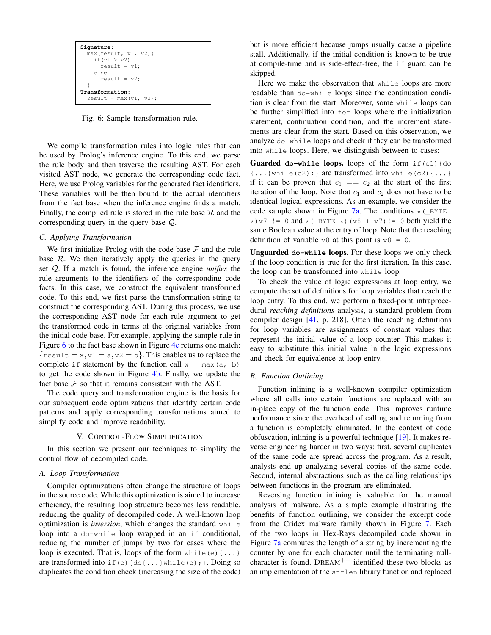```
Signature:
  max(result, v1, v2){
    if (v1 > v2)result = v1;
    else
      result = v2:
  }
Transformation:
  result = max(v1, v2);
```
Fig. 6: Sample transformation rule.

We compile transformation rules into logic rules that can be used by Prolog's inference engine. To this end, we parse the rule body and then traverse the resulting AST. For each visited AST node, we generate the corresponding code fact. Here, we use Prolog variables for the generated fact identifiers. These variables will be then bound to the actual identifiers from the fact base when the inference engine finds a match. Finally, the compiled rule is stored in the rule base  $R$  and the corresponding query in the query base Q.

## *C. Applying Transformation*

We first initialize Prolog with the code base  $\mathcal F$  and the rule base  $R$ . We then iteratively apply the queries in the query set Q. If a match is found, the inference engine *unifies* the rule arguments to the identifiers of the corresponding code facts. In this case, we construct the equivalent transformed code. To this end, we first parse the transformation string to construct the corresponding AST. During this process, we use the corresponding AST node for each rule argument to get the transformed code in terms of the original variables from the initial code base. For example, applying the sample rule in Figure [6](#page-7-1) to the fact base shown in Figure [4c](#page-6-2) returns one match:  $\{\text{result} = x, v1 = a, v2 = b\}$ . This enables us to replace the complete if statement by the function call  $x = max(a, b)$ to get the code shown in Figure [4b.](#page-6-4) Finally, we update the fact base  $F$  so that it remains consistent with the AST.

The code query and transformation engine is the basis for our subsequent code optimizations that identify certain code patterns and apply corresponding transformations aimed to simplify code and improve readability.

## V. CONTROL-FLOW SIMPLIFICATION

<span id="page-7-0"></span>In this section we present our techniques to simplify the control flow of decompiled code.

#### *A. Loop Transformation*

Compiler optimizations often change the structure of loops in the source code. While this optimization is aimed to increase efficiency, the resulting loop structure becomes less readable, reducing the quality of decompiled code. A well-known loop optimization is *inversion*, which changes the standard while loop into a do-while loop wrapped in an if conditional, reducing the number of jumps by two for cases where the loop is executed. That is, loops of the form while (e) { $\dots$ } are transformed into if(e){do{...}while(e); }. Doing so duplicates the condition check (increasing the size of the code)

but is more efficient because jumps usually cause a pipeline stall. Additionally, if the initial condition is known to be true at compile-time and is side-effect-free, the if guard can be skipped.

Here we make the observation that while loops are more readable than do-while loops since the continuation condition is clear from the start. Moreover, some while loops can be further simplified into for loops where the initialization statement, continuation condition, and the increment statements are clear from the start. Based on this observation, we analyze do-while loops and check if they can be transformed into while loops. Here, we distinguish between to cases:

Guarded do-while loops. loops of the form if (c1) {do  $\{\ldots\}$  while(c2); } are transformed into while(c2){ $\ldots$ } if it can be proven that  $c_1 == c_2$  at the start of the first iteration of the loop. Note that  $c_1$  and  $c_2$  does not have to be identical logical expressions. As an example, we consider the code sample shown in Figure [7a.](#page-8-1) The conditions  $\star$  (\_BYTE \*) v7 != 0 and \* (\_BYTE \*) (v8 + v7) != 0 both yield the same Boolean value at the entry of loop. Note that the reaching definition of variable  $\nu$ 8 at this point is  $\nu$ 8 = 0.

Unguarded **do-while** loops. For these loops we only check if the loop condition is true for the first iteration. In this case, the loop can be transformed into while loop.

To check the value of logic expressions at loop entry, we compute the set of definitions for loop variables that reach the loop entry. To this end, we perform a fixed-point intraprocedural *reaching definitions* analysis, a standard problem from compiler design [\[41,](#page-15-28) p. 218]. Often the reaching definitions for loop variables are assignments of constant values that represent the initial value of a loop counter. This makes it easy to substitute this initial value in the logic expressions and check for equivalence at loop entry.

#### *B. Function Outlining*

Function inlining is a well-known compiler optimization where all calls into certain functions are replaced with an in-place copy of the function code. This improves runtime performance since the overhead of calling and returning from a function is completely eliminated. In the context of code obfuscation, inlining is a powerful technique [\[19\]](#page-15-30). It makes reverse engineering harder in two ways: first, several duplicates of the same code are spread across the program. As a result, analysts end up analyzing several copies of the same code. Second, internal abstractions such as the calling relationships between functions in the program are eliminated.

Reversing function inlining is valuable for the manual analysis of malware. As a simple example illustrating the benefits of function outlining, we consider the excerpt code from the Cridex malware family shown in Figure [7.](#page-8-2) Each of the two loops in Hex-Rays decompiled code shown in Figure [7a](#page-8-1) computes the length of a string by incrementing the counter by one for each character until the terminating nullcharacter is found. DREAM<sup>++</sup> identified these two blocks as an implementation of the strlen library function and replaced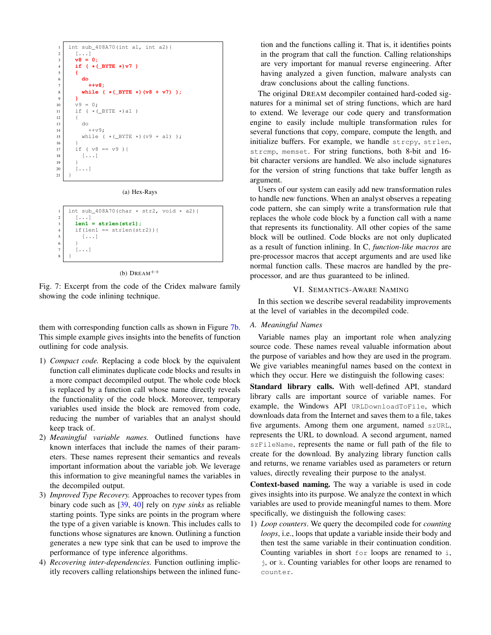```
int sub_408A70(int al, int a2){
2 [...]
3 v8 = 0;
\begin{array}{c|c|c|c|c}\n 4 & \text{if } (\star(\text{\_BITE } \star) \text{v7}) \\
 \hline\n 5 & \text{f}\n\end{array}5 {
6 do
7 ++v8;
8 while ( *(_BYTE *)(v8 + v7) );
9 }
10 \mid v9 = 0;11 if (* (BYTE *)a1 )
12 {
13 do
++v9:
15 | while ( *(\_B YTE *)(v9 + a1) );
16 }
17 if ( v8 = v9 ) {
18 [...]
1920 [...]
21 }
```
(a) Hex-Rays

```
1 int sub_408A70(char * str2, void * a2){
        [...]3 len1 = strlen(str1);
4 if(len1 == strlen(str2)){<br>
\begin{bmatrix} 1 & 1 \\ 0 & 1 \end{bmatrix}[ \ldots ]\sqrt{6}7 [...]
8 }
```
(b)  $DREAM^{++}$ 

Fig. 7: Excerpt from the code of the Cridex malware family showing the code inlining technique.

them with corresponding function calls as shown in Figure [7b.](#page-8-3) This simple example gives insights into the benefits of function outlining for code analysis.

- 1) *Compact code.* Replacing a code block by the equivalent function call eliminates duplicate code blocks and results in a more compact decompiled output. The whole code block is replaced by a function call whose name directly reveals the functionality of the code block. Moreover, temporary variables used inside the block are removed from code, reducing the number of variables that an analyst should keep track of.
- 2) *Meaningful variable names.* Outlined functions have known interfaces that include the names of their parameters. These names represent their semantics and reveals important information about the variable job. We leverage this information to give meaningful names the variables in the decompiled output.
- 3) *Improved Type Recovery.* Approaches to recover types from binary code such as [\[39,](#page-15-15) [40\]](#page-15-16) rely on *type sinks* as reliable starting points. Type sinks are points in the program where the type of a given variable is known. This includes calls to functions whose signatures are known. Outlining a function generates a new type sink that can be used to improve the performance of type inference algorithms.
- 4) *Recovering inter-dependencies.* Function outlining implicitly recovers calling relationships between the inlined func-

tion and the functions calling it. That is, it identifies points in the program that call the function. Calling relationships are very important for manual reverse engineering. After having analyzed a given function, malware analysts can draw conclusions about the calling functions.

The original DREAM decompiler contained hard-coded signatures for a minimal set of string functions, which are hard to extend. We leverage our code query and transformation engine to easily include multiple transformation rules for several functions that copy, compare, compute the length, and initialize buffers. For example, we handle strcpy, strlen, strcmp, memset. For string functions, both 8-bit and 16 bit character versions are handled. We also include signatures for the version of string functions that take buffer length as argument.

Users of our system can easily add new transformation rules to handle new functions. When an analyst observes a repeating code pattern, she can simply write a transformation rule that replaces the whole code block by a function call with a name that represents its functionality. All other copies of the same block will be outlined. Code blocks are not only duplicated as a result of function inlining. In C, *function-like macros* are pre-processor macros that accept arguments and are used like normal function calls. These macros are handled by the preprocessor, and are thus guaranteed to be inlined.

### VI. SEMANTICS-AWARE NAMING

<span id="page-8-0"></span>In this section we describe several readability improvements at the level of variables in the decompiled code.

#### *A. Meaningful Names*

Variable names play an important role when analyzing source code. These names reveal valuable information about the purpose of variables and how they are used in the program. We give variables meaningful names based on the context in which they occur. Here we distinguish the following cases:

Standard library calls. With well-defined API, standard library calls are important source of variable names. For example, the Windows API URLDownloadToFile, which downloads data from the Internet and saves them to a file, takes five arguments. Among them one argument, named szURL, represents the URL to download. A second argument, named szFileName, represents the name or full path of the file to create for the download. By analyzing library function calls and returns, we rename variables used as parameters or return values, directly revealing their purpose to the analyst.

Context-based naming. The way a variable is used in code gives insights into its purpose. We analyze the context in which variables are used to provide meaningful names to them. More specifically, we distinguish the following cases:

1) *Loop counters*. We query the decompiled code for *counting loops*, i.e., loops that update a variable inside their body and then test the same variable in their continuation condition. Counting variables in short for loops are renamed to i, j, or k. Counting variables for other loops are renamed to counter.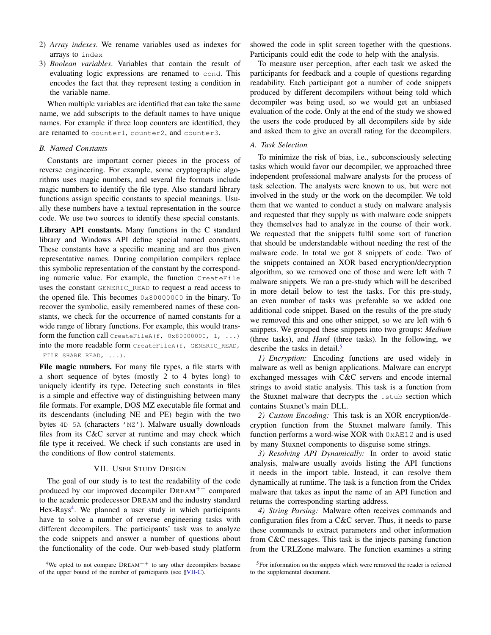- 2) *Array indexes*. We rename variables used as indexes for arrays to index
- 3) *Boolean variables*. Variables that contain the result of evaluating logic expressions are renamed to cond. This encodes the fact that they represent testing a condition in the variable name.

When multiple variables are identified that can take the same name, we add subscripts to the default names to have unique names. For example if three loop counters are identified, they are renamed to counter1, counter2, and counter3.

#### *B. Named Constants*

Constants are important corner pieces in the process of reverse engineering. For example, some cryptographic algorithms uses magic numbers, and several file formats include magic numbers to identify the file type. Also standard library functions assign specific constants to special meanings. Usually these numbers have a textual representation in the source code. We use two sources to identify these special constants.

Library API constants. Many functions in the C standard library and Windows API define special named constants. These constants have a specific meaning and are thus given representative names. During compilation compilers replace this symbolic representation of the constant by the corresponding numeric value. For example, the function CreateFile uses the constant GENERIC\_READ to request a read access to the opened file. This becomes 0x80000000 in the binary. To recover the symbolic, easily remembered names of these constants, we check for the occurrence of named constants for a wide range of library functions. For example, this would transform the function call CreateFileA(f,  $0x800000000$ , 1, ...) into the more readable form CreateFileA(f, GENERIC\_READ, FILE\_SHARE\_READ, ...).

File magic numbers. For many file types, a file starts with a short sequence of bytes (mostly 2 to 4 bytes long) to uniquely identify its type. Detecting such constants in files is a simple and effective way of distinguishing between many file formats. For example, DOS MZ executable file format and its descendants (including NE and PE) begin with the two bytes 4D 5A (characters 'MZ'). Malware usually downloads files from its C&C server at runtime and may check which file type it received. We check if such constants are used in the conditions of flow control statements.

## VII. USER STUDY DESIGN

The goal of our study is to test the readability of the code produced by our improved decompiler  $DREAM^{++}$  compared to the academic predecessor DREAM and the industry standard Hex-Rays<sup>[4](#page-9-0)</sup>. We planned a user study in which participants have to solve a number of reverse engineering tasks with different decompilers. The participants' task was to analyze the code snippets and answer a number of questions about the functionality of the code. Our web-based study platform showed the code in split screen together with the questions. Participants could edit the code to help with the analysis.

To measure user perception, after each task we asked the participants for feedback and a couple of questions regarding readability. Each participant got a number of code snippets produced by different decompilers without being told which decompiler was being used, so we would get an unbiased evaluation of the code. Only at the end of the study we showed the users the code produced by all decompilers side by side and asked them to give an overall rating for the decompilers.

## *A. Task Selection*

To minimize the risk of bias, i.e., subconsciously selecting tasks which would favor our decompiler, we approached three independent professional malware analysts for the process of task selection. The analysts were known to us, but were not involved in the study or the work on the decompiler. We told them that we wanted to conduct a study on malware analysis and requested that they supply us with malware code snippets they themselves had to analyze in the course of their work. We requested that the snippets fulfil some sort of function that should be understandable without needing the rest of the malware code. In total we got 8 snippets of code. Two of the snippets contained an XOR based encryption/decryption algorithm, so we removed one of those and were left with 7 malware snippets. We ran a pre-study which will be described in more detail below to test the tasks. For this pre-study, an even number of tasks was preferable so we added one additional code snippet. Based on the results of the pre-study we removed this and one other snippet, so we are left with 6 snippets. We grouped these snippets into two groups: *Medium* (three tasks), and *Hard* (three tasks). In the following, we describe the tasks in detail.<sup>[5](#page-9-1)</sup>

*1) Encryption:* Encoding functions are used widely in malware as well as benign applications. Malware can encrypt exchanged messages with C&C servers and encode internal strings to avoid static analysis. This task is a function from the Stuxnet malware that decrypts the .stub section which contains Stuxnet's main DLL.

*2) Custom Encoding:* This task is an XOR encryption/decryption function from the Stuxnet malware family. This function performs a word-wise XOR with 0xAE12 and is used by many Stuxnet components to disguise some strings.

*3) Resolving API Dynamically:* In order to avoid static analysis, malware usually avoids listing the API functions it needs in the import table. Instead, it can resolve them dynamically at runtime. The task is a function from the Cridex malware that takes as input the name of an API function and returns the corresponding starting address.

*4) String Parsing:* Malware often receives commands and configuration files from a C&C server. Thus, it needs to parse these commands to extract parameters and other information from C&C messages. This task is the injects parsing function from the URLZone malware. The function examines a string

<span id="page-9-0"></span><sup>&</sup>lt;sup>4</sup>We opted to not compare  $DREAM^{++}$  to any other decompilers because of the upper bound of the number of participants (see [§VII-C\)](#page-10-0).

<span id="page-9-1"></span><sup>&</sup>lt;sup>5</sup>For information on the snippets which were removed the reader is referred to the supplemental document.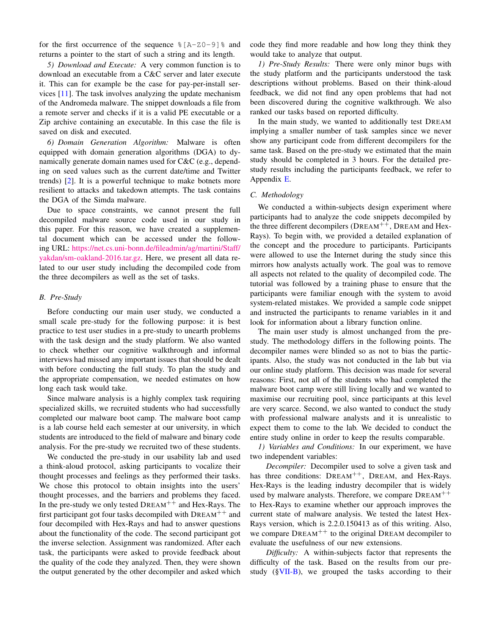for the first occurrence of the sequence  $\S [A-Z0-9]\$ and returns a pointer to the start of such a string and its length.

*5) Download and Execute:* A very common function is to download an executable from a C&C server and later execute it. This can for example be the case for pay-per-install services [\[11\]](#page-15-31). The task involves analyzing the update mechanism of the Andromeda malware. The snippet downloads a file from a remote server and checks if it is a valid PE executable or a Zip archive containing an executable. In this case the file is saved on disk and executed.

*6) Domain Generation Algorithm:* Malware is often equipped with domain generation algorithms (DGA) to dynamically generate domain names used for C&C (e.g., depending on seed values such as the current date/time and Twitter trends) [\[2\]](#page-15-6). It is a powerful technique to make botnets more resilient to attacks and takedown attempts. The task contains the DGA of the Simda malware.

Due to space constraints, we cannot present the full decompiled malware source code used in our study in this paper. For this reason, we have created a supplemental document which can be accessed under the following URL: [https://net.cs.uni-bonn.de/fileadmin/ag/martini/Staff/](https://net.cs.uni-bonn.de/fileadmin/ag/martini/Staff/yakdan/sm-oakland-2016.tar.gz) [yakdan/sm-oakland-2016.tar.gz.](https://net.cs.uni-bonn.de/fileadmin/ag/martini/Staff/yakdan/sm-oakland-2016.tar.gz) Here, we present all data related to our user study including the decompiled code from the three decompilers as well as the set of tasks.

#### <span id="page-10-1"></span>*B. Pre-Study*

Before conducting our main user study, we conducted a small scale pre-study for the following purpose: it is best practice to test user studies in a pre-study to unearth problems with the task design and the study platform. We also wanted to check whether our cognitive walkthrough and informal interviews had missed any important issues that should be dealt with before conducting the full study. To plan the study and the appropriate compensation, we needed estimates on how long each task would take.

Since malware analysis is a highly complex task requiring specialized skills, we recruited students who had successfully completed our malware boot camp. The malware boot camp is a lab course held each semester at our university, in which students are introduced to the field of malware and binary code analysis. For the pre-study we recruited two of these students.

We conducted the pre-study in our usability lab and used a think-aloud protocol, asking participants to vocalize their thought processes and feelings as they performed their tasks. We chose this protocol to obtain insights into the users' thought processes, and the barriers and problems they faced. In the pre-study we only tested  $DREAM^{++}$  and Hex-Rays. The first participant got four tasks decompiled with  $DREAM^{++}$  and four decompiled with Hex-Rays and had to answer questions about the functionality of the code. The second participant got the inverse selection. Assignment was randomized. After each task, the participants were asked to provide feedback about the quality of the code they analyzed. Then, they were shown the output generated by the other decompiler and asked which code they find more readable and how long they think they would take to analyze that output.

*1) Pre-Study Results:* There were only minor bugs with the study platform and the participants understood the task descriptions without problems. Based on their think-aloud feedback, we did not find any open problems that had not been discovered during the cognitive walkthrough. We also ranked our tasks based on reported difficulty.

In the main study, we wanted to additionally test DREAM implying a smaller number of task samples since we never show any participant code from different decompilers for the same task. Based on the pre-study we estimated that the main study should be completed in 3 hours. For the detailed prestudy results including the participants feedback, we refer to Appendix [E.](#page-18-0)

## <span id="page-10-0"></span>*C. Methodology*

We conducted a within-subjects design experiment where participants had to analyze the code snippets decompiled by the three different decompilers (DREAM<sup>++</sup>, DREAM and Hex-Rays). To begin with, we provided a detailed explanation of the concept and the procedure to participants. Participants were allowed to use the Internet during the study since this mirrors how analysts actually work. The goal was to remove all aspects not related to the quality of decompiled code. The tutorial was followed by a training phase to ensure that the participants were familiar enough with the system to avoid system-related mistakes. We provided a sample code snippet and instructed the participants to rename variables in it and look for information about a library function online.

The main user study is almost unchanged from the prestudy. The methodology differs in the following points. The decompiler names were blinded so as not to bias the participants. Also, the study was not conducted in the lab but via our online study platform. This decision was made for several reasons: First, not all of the students who had completed the malware boot camp were still living locally and we wanted to maximise our recruiting pool, since participants at this level are very scarce. Second, we also wanted to conduct the study with professional malware analysts and it is unrealistic to expect them to come to the lab. We decided to conduct the entire study online in order to keep the results comparable.

*1) Variables and Conditions:* In our experiment, we have two independent variables:

*Decompiler:* Decompiler used to solve a given task and has three conditions:  $DREAM^{++}$ ,  $DREAM$ , and Hex-Rays. Hex-Rays is the leading industry decompiler that is widely used by malware analysts. Therefore, we compare  $DREAM^{++}$ to Hex-Rays to examine whether our approach improves the current state of malware analysis. We tested the latest Hex-Rays version, which is 2.2.0.150413 as of this writing. Also, we compare  $DREAM^{++}$  to the original DREAM decompiler to evaluate the usefulness of our new extensions.

*Difficulty:* A within-subjects factor that represents the difficulty of the task. Based on the results from our prestudy ([§VII-B\)](#page-10-1), we grouped the tasks according to their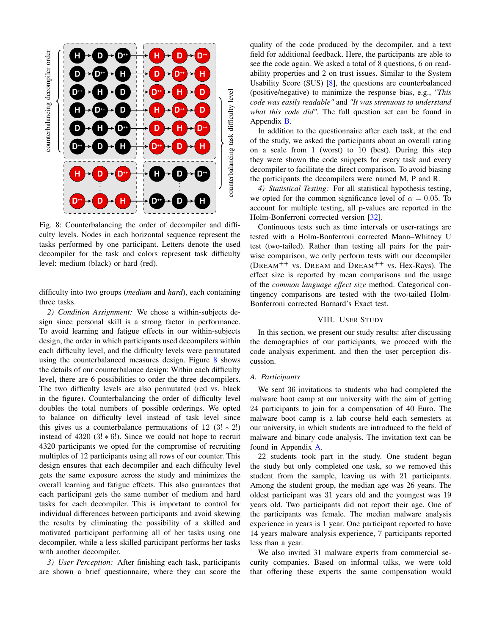<span id="page-11-0"></span>![](_page_11_Figure_0.jpeg)

Fig. 8: Counterbalancing the order of decompiler and difficulty levels. Nodes in each horizontal sequence represent the tasks performed by one participant. Letters denote the used decompiler for the task and colors represent task difficulty level: medium (black) or hard (red).

difficulty into two groups (*medium* and *hard*), each containing three tasks.

*2) Condition Assignment:* We chose a within-subjects design since personal skill is a strong factor in performance. To avoid learning and fatigue effects in our within-subjects design, the order in which participants used decompilers within each difficulty level, and the difficulty levels were permutated using the counterbalanced measures design. Figure [8](#page-11-0) shows the details of our counterbalance design: Within each difficulty level, there are 6 possibilities to order the three decompilers. The two difficulty levels are also permutated (red vs. black in the figure). Counterbalancing the order of difficulty level doubles the total numbers of possible orderings. We opted to balance on difficulty level instead of task level since this gives us a counterbalance permutations of  $12 \ (3! * 2!)$ instead of  $4320$  (3!  $*$  6!). Since we could not hope to recruit 4320 participants we opted for the compromise of recruiting multiples of 12 participants using all rows of our counter. This design ensures that each decompiler and each difficulty level gets the same exposure across the study and minimizes the overall learning and fatigue effects. This also guarantees that each participant gets the same number of medium and hard tasks for each decompiler. This is important to control for individual differences between participants and avoid skewing the results by eliminating the possibility of a skilled and motivated participant performing all of her tasks using one decompiler, while a less skilled participant performs her tasks with another decompiler.

*3) User Perception:* After finishing each task, participants are shown a brief questionnaire, where they can score the quality of the code produced by the decompiler, and a text field for additional feedback. Here, the participants are able to see the code again. We asked a total of 8 questions, 6 on readability properties and 2 on trust issues. Similar to the System Usability Score (SUS) [\[8\]](#page-15-32), the questions are counterbalanced (positive/negative) to minimize the response bias, e.g., *"This code was easily readable"* and *"It was strenuous to understand what this code did"*. The full question set can be found in Appendix [B.](#page-16-6)

In addition to the questionnaire after each task, at the end of the study, we asked the participants about an overall rating on a scale from 1 (worst) to 10 (best). During this step they were shown the code snippets for every task and every decompiler to facilitate the direct comparison. To avoid biasing the participants the decompilers were named M, P and R.

*4) Statistical Testing:* For all statistical hypothesis testing, we opted for the common significance level of  $\alpha = 0.05$ . To account for multiple testing, all p-values are reported in the Holm-Bonferroni corrected version [\[32\]](#page-15-33).

Continuous tests such as time intervals or user-ratings are tested with a Holm-Bonferroni corrected Mann–Whitney U test (two-tailed). Rather than testing all pairs for the pairwise comparison, we only perform tests with our decompiler ( $DREAM^{++}$  vs. DREAM and  $DREAM^{++}$  vs. Hex-Rays). The effect size is reported by mean comparisons and the usage of the *common language effect size* method. Categorical contingency comparisons are tested with the two-tailed Holm-Bonferroni corrected Barnard's Exact test.

## VIII. USER STUDY

In this section, we present our study results: after discussing the demographics of our participants, we proceed with the code analysis experiment, and then the user perception discussion.

## *A. Participants*

We sent 36 invitations to students who had completed the malware boot camp at our university with the aim of getting 24 participants to join for a compensation of 40 Euro. The malware boot camp is a lab course held each semesters at our university, in which students are introduced to the field of malware and binary code analysis. The invitation text can be found in Appendix [A.](#page-16-7)

22 students took part in the study. One student began the study but only completed one task, so we removed this student from the sample, leaving us with 21 participants. Among the student group, the median age was 26 years. The oldest participant was 31 years old and the youngest was 19 years old. Two participants did not report their age. One of the participants was female. The median malware analysis experience in years is 1 year. One participant reported to have 14 years malware analysis experience, 7 participants reported less than a year.

We also invited 31 malware experts from commercial security companies. Based on informal talks, we were told that offering these experts the same compensation would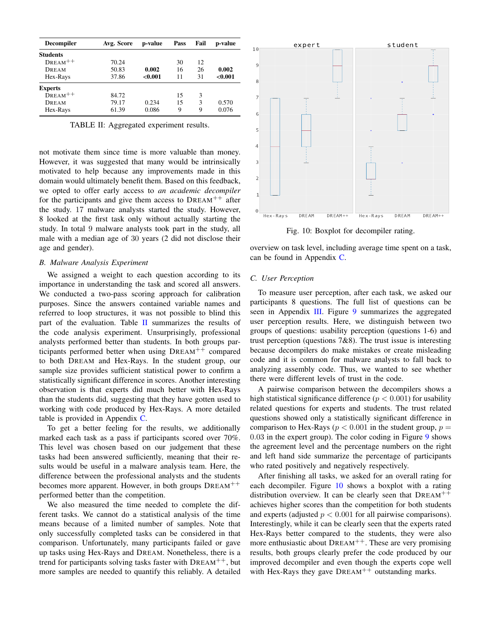<span id="page-12-0"></span>

| <b>Decompiler</b>        | Avg. Score | p-value | Pass | Fail | p-value |
|--------------------------|------------|---------|------|------|---------|
| <b>Students</b>          |            |         |      |      |         |
| $D$ <sub>REAM</sub> $++$ | 70.24      |         | 30   | 12   |         |
| DREAM                    | 50.83      | 0.002   | 16   | 26   | 0.002   |
| Hex-Rays                 | 37.86      | < 0.001 | 11   | 31   | < 0.001 |
| <b>Experts</b>           |            |         |      |      |         |
| $D$ <sub>REAM</sub> $++$ | 84.72      |         | 15   | 3    |         |
| DREAM                    | 79.17      | 0.234   | 15   | 3    | 0.570   |
| Hex-Rays                 | 61.39      | 0.086   | 9    | 9    | 0.076   |

TABLE II: Aggregated experiment results.

not motivate them since time is more valuable than money. However, it was suggested that many would be intrinsically motivated to help because any improvements made in this domain would ultimately benefit them. Based on this feedback, we opted to offer early access to *an academic decompiler* for the participants and give them access to  $DREAM^{++}$  after the study. 17 malware analysts started the study. However, 8 looked at the first task only without actually starting the study. In total 9 malware analysts took part in the study, all male with a median age of 30 years (2 did not disclose their age and gender).

## *B. Malware Analysis Experiment*

We assigned a weight to each question according to its importance in understanding the task and scored all answers. We conducted a two-pass scoring approach for calibration purposes. Since the answers contained variable names and referred to loop structures, it was not possible to blind this part of the evaluation. Table  $II$  summarizes the results of the code analysis experiment. Unsurprisingly, professional analysts performed better than students. In both groups participants performed better when using  $DREAM^{++}$  compared to both DREAM and Hex-Rays. In the student group, our sample size provides sufficient statistical power to confirm a statistically significant difference in scores. Another interesting observation is that experts did much better with Hex-Rays than the students did, suggesting that they have gotten used to working with code produced by Hex-Rays. A more detailed table is provided in Appendix [C.](#page-16-8)

To get a better feeling for the results, we additionally marked each task as a pass if participants scored over 70%. This level was chosen based on our judgement that these tasks had been answered sufficiently, meaning that their results would be useful in a malware analysis team. Here, the difference between the professional analysts and the students becomes more apparent. However, in both groups  $DREAM^{++}$ performed better than the competition.

We also measured the time needed to complete the different tasks. We cannot do a statistical analysis of the time means because of a limited number of samples. Note that only successfully completed tasks can be considered in that comparison. Unfortunately, many participants failed or gave up tasks using Hex-Rays and DREAM. Nonetheless, there is a trend for participants solving tasks faster with  $DREAM^{++}$ , but more samples are needed to quantify this reliably. A detailed

<span id="page-12-1"></span>![](_page_12_Figure_7.jpeg)

Fig. 10: Boxplot for decompiler rating.

overview on task level, including average time spent on a task, can be found in Appendix [C.](#page-16-8)

### *C. User Perception*

To measure user perception, after each task, we asked our participants 8 questions. The full list of questions can be seen in Appendix [III.](#page-18-1) Figure [9](#page-13-0) summarizes the aggregated user perception results. Here, we distinguish between two groups of questions: usability perception (questions 1-6) and trust perception (questions 7&8). The trust issue is interesting because decompilers do make mistakes or create misleading code and it is common for malware analysts to fall back to analyzing assembly code. Thus, we wanted to see whether there were different levels of trust in the code.

A pairwise comparison between the decompilers shows a high statistical significance difference ( $p < 0.001$ ) for usability related questions for experts and students. The trust related questions showed only a statistically significant difference in comparison to Hex-Rays ( $p < 0.001$  in the student group,  $p =$ 0.03 in the expert group). The color coding in Figure [9](#page-13-0) shows the agreement level and the percentage numbers on the right and left hand side summarize the percentage of participants who rated positively and negatively respectively.

After finishing all tasks, we asked for an overall rating for each decompiler. Figure [10](#page-12-1) shows a boxplot with a rating distribution overview. It can be clearly seen that  $DREAM^{++}$ achieves higher scores than the competition for both students and experts (adjusted  $p < 0.001$  for all pairwise comparisons). Interestingly, while it can be clearly seen that the experts rated Hex-Rays better compared to the students, they were also more enthusiastic about  $DREAM^{++}$ . These are very promising results, both groups clearly prefer the code produced by our improved decompiler and even though the experts cope well with Hex-Rays they gave  $DREAM^{++}$  outstanding marks.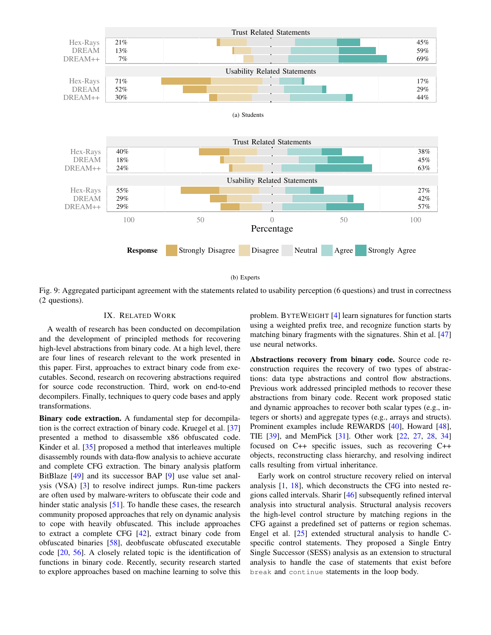<span id="page-13-0"></span>![](_page_13_Figure_0.jpeg)

(b) Experts

Fig. 9: Aggregated participant agreement with the statements related to usability perception (6 questions) and trust in correctness (2 questions).

## IX. RELATED WORK

A wealth of research has been conducted on decompilation and the development of principled methods for recovering high-level abstractions from binary code. At a high level, there are four lines of research relevant to the work presented in this paper. First, approaches to extract binary code from executables. Second, research on recovering abstractions required for source code reconstruction. Third, work on end-to-end decompilers. Finally, techniques to query code bases and apply transformations.

Binary code extraction. A fundamental step for decompilation is the correct extraction of binary code. Kruegel et al. [\[37\]](#page-15-11) presented a method to disassemble x86 obfuscated code. Kinder et al. [\[35\]](#page-15-10) proposed a method that interleaves multiple disassembly rounds with data-flow analysis to achieve accurate and complete CFG extraction. The binary analysis platform BitBlaze [\[49\]](#page-15-34) and its successor BAP [\[9\]](#page-15-35) use value set analysis (VSA) [\[3\]](#page-15-36) to resolve indirect jumps. Run-time packers are often used by malware-writers to obfuscate their code and hinder static analysis [\[51\]](#page-16-9). To handle these cases, the research community proposed approaches that rely on dynamic analysis to cope with heavily obfuscated. This include approaches to extract a complete CFG [\[42\]](#page-15-12), extract binary code from obfuscated binaries [\[58\]](#page-16-1), deobfuscate obfuscated executable code [\[20,](#page-15-13) [56\]](#page-16-2). A closely related topic is the identification of functions in binary code. Recently, security research started to explore approaches based on machine learning to solve this

problem. BYTEWEIGHT [\[4\]](#page-15-7) learn signatures for function starts using a weighted prefix tree, and recognize function starts by matching binary fragments with the signatures. Shin et al. [\[47\]](#page-15-8) use neural networks.

Abstractions recovery from binary code. Source code reconstruction requires the recovery of two types of abstractions: data type abstractions and control flow abstractions. Previous work addressed principled methods to recover these abstractions from binary code. Recent work proposed static and dynamic approaches to recover both scalar types (e.g., integers or shorts) and aggregate types (e.g., arrays and structs). Prominent examples include REWARDS [\[40\]](#page-15-16), Howard [\[48\]](#page-15-17), TIE [\[39\]](#page-15-15), and MemPick [\[31\]](#page-15-37). Other work [\[22,](#page-15-38) [27,](#page-15-22) [28,](#page-15-23) [34\]](#page-15-39) focused on C++ specific issues, such as recovering C++ objects, reconstructing class hierarchy, and resolving indirect calls resulting from virtual inheritance.

Early work on control structure recovery relied on interval analysis [\[1,](#page-15-40) [18\]](#page-15-41), which deconstructs the CFG into nested regions called intervals. Sharir [\[46\]](#page-15-42) subsequently refined interval analysis into structural analysis. Structural analysis recovers the high-level control structure by matching regions in the CFG against a predefined set of patterns or region schemas. Engel et al. [\[25\]](#page-15-43) extended structural analysis to handle Cspecific control statements. They proposed a Single Entry Single Successor (SESS) analysis as an extension to structural analysis to handle the case of statements that exist before break and continue statements in the loop body.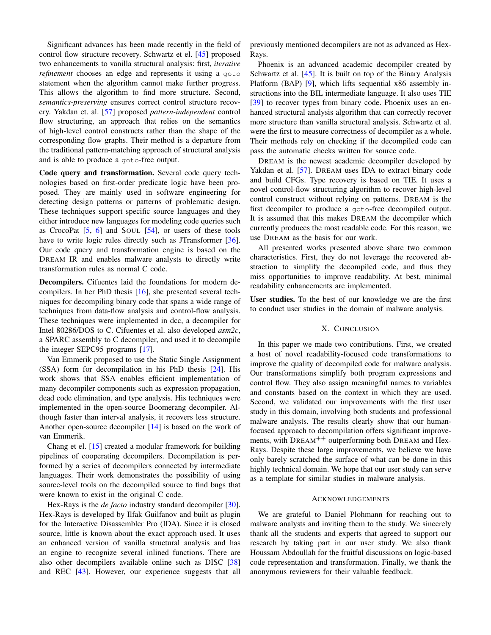Significant advances has been made recently in the field of control flow structure recovery. Schwartz et el. [\[45\]](#page-15-14) proposed two enhancements to vanilla structural analysis: first, *iterative refinement* chooses an edge and represents it using a goto statement when the algorithm cannot make further progress. This allows the algorithm to find more structure. Second, *semantics-preserving* ensures correct control structure recovery. Yakdan et. al. [\[57\]](#page-16-3) proposed *pattern-independent* control flow structuring, an approach that relies on the semantics of high-level control constructs rather than the shape of the corresponding flow graphs. Their method is a departure from the traditional pattern-matching approach of structural analysis and is able to produce a goto-free output.

Code query and transformation. Several code query technologies based on first-order predicate logic have been proposed. They are mainly used in software engineering for detecting design patterns or patterns of problematic design. These techniques support specific source languages and they either introduce new languages for modeling code queries such as CrocoPat  $[5, 6]$  $[5, 6]$  $[5, 6]$  and SOUL  $[54]$ , or users of these tools have to write logic rules directly such as JTransformer [\[36\]](#page-15-46). Our code query and transformation engine is based on the DREAM IR and enables malware analysts to directly write transformation rules as normal C code.

Decompilers. Cifuentes laid the foundations for modern decompilers. In her PhD thesis [\[16\]](#page-15-18), she presented several techniques for decompiling binary code that spans a wide range of techniques from data-flow analysis and control-flow analysis. These techniques were implemented in dcc, a decompiler for Intel 80286/DOS to C. Cifuentes et al. also developed *asm2c*, a SPARC assembly to C decompiler, and used it to decompile the integer SEPC95 programs [\[17\]](#page-15-20).

Van Emmerik proposed to use the Static Single Assignment (SSA) form for decompilation in his PhD thesis [\[24\]](#page-15-21). His work shows that SSA enables efficient implementation of many decompiler components such as expression propagation, dead code elimination, and type analysis. His techniques were implemented in the open-source Boomerang decompiler. Although faster than interval analysis, it recovers less structure. Another open-source decompiler [\[14\]](#page-15-47) is based on the work of van Emmerik.

Chang et el. [\[15\]](#page-15-19) created a modular framework for building pipelines of cooperating decompilers. Decompilation is performed by a series of decompilers connected by intermediate languages. Their work demonstrates the possibility of using source-level tools on the decompiled source to find bugs that were known to exist in the original C code.

Hex-Rays is the *de facto* industry standard decompiler [\[30\]](#page-15-24). Hex-Rays is developed by Ilfak Guilfanov and built as plugin for the Interactive Disassembler Pro (IDA). Since it is closed source, little is known about the exact approach used. It uses an enhanced version of vanilla structural analysis and has an engine to recognize several inlined functions. There are also other decompilers available online such as DISC [\[38\]](#page-15-48) and REC [\[43\]](#page-15-49). However, our experience suggests that all previously mentioned decompilers are not as advanced as Hex-Rays.

Phoenix is an advanced academic decompiler created by Schwartz et al. [\[45\]](#page-15-14). It is built on top of the Binary Analysis Platform (BAP) [\[9\]](#page-15-35), which lifts sequential x86 assembly instructions into the BIL intermediate language. It also uses TIE [\[39\]](#page-15-15) to recover types from binary code. Phoenix uses an enhanced structural analysis algorithm that can correctly recover more structure than vanilla structural analysis. Schwartz et al. were the first to measure correctness of decompiler as a whole. Their methods rely on checking if the decompiled code can pass the automatic checks written for source code.

DREAM is the newest academic decompiler developed by Yakdan et al. [\[57\]](#page-16-3). DREAM uses IDA to extract binary code and build CFGs. Type recovery is based on TIE. It uses a novel control-flow structuring algorithm to recover high-level control construct without relying on patterns. DREAM is the first decompiler to produce a goto-free decompiled output. It is assumed that this makes DREAM the decompiler which currently produces the most readable code. For this reason, we use DREAM as the basis for our work.

All presented works presented above share two common characteristics. First, they do not leverage the recovered abstraction to simplify the decompiled code, and thus they miss opportunities to improve readability. At best, minimal readability enhancements are implemented.

User studies. To the best of our knowledge we are the first to conduct user studies in the domain of malware analysis.

### X. CONCLUSION

In this paper we made two contributions. First, we created a host of novel readability-focused code transformations to improve the quality of decompiled code for malware analysis. Our transformations simplify both program expressions and control flow. They also assign meaningful names to variables and constants based on the context in which they are used. Second, we validated our improvements with the first user study in this domain, involving both students and professional malware analysts. The results clearly show that our humanfocused approach to decompilation offers significant improvements, with DREAM<sup>++</sup> outperforming both DREAM and Hex-Rays. Despite these large improvements, we believe we have only barely scratched the surface of what can be done in this highly technical domain. We hope that our user study can serve as a template for similar studies in malware analysis.

#### ACKNOWLEDGEMENTS

We are grateful to Daniel Plohmann for reaching out to malware analysts and inviting them to the study. We sincerely thank all the students and experts that agreed to support our research by taking part in our user study. We also thank Houssam Abdoullah for the fruitful discussions on logic-based code representation and transformation. Finally, we thank the anonymous reviewers for their valuable feedback.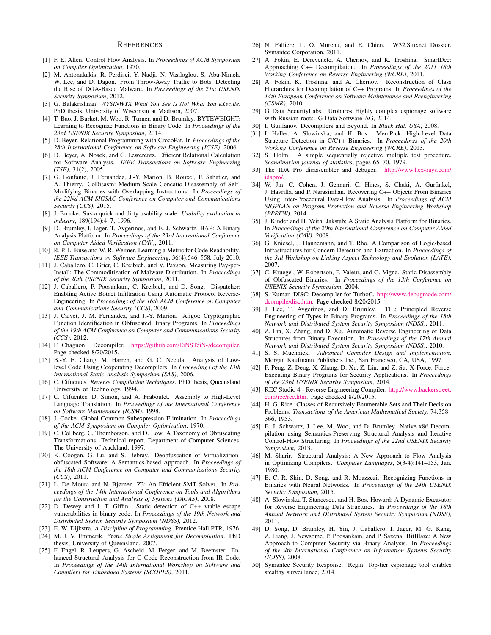### **REFERENCES**

- <span id="page-15-40"></span>[1] F. E. Allen. Control Flow Analysis. In *Proceedings of ACM Symposium on Compiler Optimization*, 1970.
- <span id="page-15-6"></span>[2] M. Antonakakis, R. Perdisci, Y. Nadji, N. Vasiloglou, S. Abu-Nimeh, W. Lee, and D. Dagon. From Throw-Away Traffic to Bots: Detecting the Rise of DGA-Based Malware. In *Proceedings of the 21st USENIX Security Symposium*, 2012.
- <span id="page-15-36"></span>[3] G. Balakrishnan. *WYSINWYX What You See Is Not What You eXecute*. PhD thesis, University of Wisconsin at Madison, 2007.
- <span id="page-15-7"></span>[4] T. Bao, J. Burket, M. Woo, R. Turner, and D. Brumley. BYTEWEIGHT: Learning to Recognize Functions in Binary Code. In *Proceedings of the 23rd USENIX Security Symposium*, 2014.
- <span id="page-15-44"></span>[5] D. Beyer. Relational Programming with CrocoPat. In *Proceedings of the 28th International Conference on Software Engineering (ICSE)*, 2006.
- <span id="page-15-45"></span>[6] D. Beyer, A. Noack, and C. Lewerentz. Efficient Relational Calculation for Software Analysis. *IEEE Transactions on Software Engineering (TSE)*, 31(2), 2005.
- <span id="page-15-9"></span>[7] G. Bonfante, J. Fernandez, J.-Y. Marion, B. Rouxel, F. Sabatier, and A. Thierry. CoDisasm: Medium Scale Concatic Disassembly of Self-Modifying Binaries with Overlapping Instructions. In *Proceedings of the 22Nd ACM SIGSAC Conference on Computer and Communications Security (CCS)*, 2015.
- <span id="page-15-32"></span>[8] J. Brooke. Sus-a quick and dirty usability scale. *Usability evaluation in industry*, 189(194):4–7, 1996.
- <span id="page-15-35"></span>[9] D. Brumley, I. Jager, T. Avgerinos, and E. J. Schwartz. BAP: A Binary Analysis Platform. In *Proceedings of the 23rd International Conference on Computer Aided Verification (CAV)*, 2011.
- <span id="page-15-25"></span>[10] R. P. L. Buse and W. R. Weimer. Learning a Metric for Code Readability. *IEEE Transactions on Software Engineering*, 36(4):546–558, July 2010.
- <span id="page-15-31"></span>[11] J. Caballero, C. Grier, C. Kreibich, and V. Paxson. Measuring Pay-per-Install: The Commoditization of Malware Distribution. In *Proceedings of the 20th USENIX Security Symposium*, 2011.
- <span id="page-15-5"></span>[12] J. Caballero, P. Poosankam, C. Kreibich, and D. Song. Dispatcher: Enabling Active Botnet Infiltration Using Automatic Protocol Reverse-Engineering. In *Proceedings of the 16th ACM Conference on Computer and Communications Security (CCS)*, 2009.
- <span id="page-15-4"></span>[13] J. Calvet, J. M. Fernandez, and J.-Y. Marion. Aligot: Cryptographic Function Identification in Obfuscated Binary Programs. In *Proceedings of the 19th ACM Conference on Computer and Communications Security (CCS)*, 2012.
- <span id="page-15-47"></span>[14] F. Chagnon. Decompiler. [https://github.com/EiNSTeiN-/decompiler.](https://github.com/EiNSTeiN-/decompiler) Page checked 8/20/2015.
- <span id="page-15-19"></span>[15] B.-Y. E. Chang, M. Harren, and G. C. Necula. Analysis of Lowlevel Code Using Cooperating Decompilers. In *Proceedings of the 13th International Static Analysis Symposium (SAS)*, 2006.
- <span id="page-15-18"></span>[16] C. Cifuentes. *Reverse Compilation Techniques*. PhD thesis, Queensland University of Technology, 1994.
- <span id="page-15-20"></span>[17] C. Cifuentes, D. Simon, and A. Fraboulet. Assembly to High-Level Language Translation. In *Proceedings of the International Conference on Software Maintenance (ICSM)*, 1998.
- <span id="page-15-41"></span>[18] J. Cocke. Global Common Subexpression Elimination. In *Proceedings of the ACM Symposium on Compiler Optimization*, 1970.
- <span id="page-15-30"></span>[19] C. Collberg, C. Thomborson, and D. Low. A Taxonomy of Obfuscating Transformations. Technical report, Department of Computer Sciences, The University of Auckland, 1997.
- <span id="page-15-13"></span>[20] K. Coogan, G. Lu, and S. Debray. Deobfuscation of Virtualizationobfuscated Software: A Semantics-based Approach. In *Proceedings of the 18th ACM Conference on Computer and Communications Security (CCS)*, 2011.
- <span id="page-15-29"></span>[21] L. De Moura and N. Bjørner. Z3: An Efficient SMT Solver. In *Proceedings of the 14th International Conference on Tools and Algorithms for the Construction and Analysis of Systems (TACAS)*, 2008.
- <span id="page-15-38"></span>[22] D. Dewey and J. T. Giffin. Static detection of C++ vtable escape vulnerabilities in binary code. In *Proceedings of the 19th Network and Distributed System Security Symposium (NDSS)*, 2012.
- <span id="page-15-26"></span>[23] E. W. Dijkstra. *A Discipline of Programming*. Prentice Hall PTR, 1976.
- <span id="page-15-21"></span>[24] M. J. V. Emmerik. *Static Single Assignment for Decompilation*. PhD thesis, University of Queensland, 2007.
- <span id="page-15-43"></span>[25] F. Engel, R. Leupers, G. Ascheid, M. Ferger, and M. Beemster. Enhanced Structural Analysis for C Code Reconstruction from IR Code. In *Proceedings of the 14th International Workshop on Software and Compilers for Embedded Systems (SCOPES)*, 2011.
- <span id="page-15-0"></span>[26] N. Falliere, L. O. Murchu, and E. Chien. W32.Stuxnet Dossier. Symantec Corporation, 2011.
- <span id="page-15-22"></span>[27] A. Fokin, E. Derevenetc, A. Chernov, and K. Troshina. SmartDec: Approaching C++ Decompilation. In *Proceedings of the 2011 18th Working Conference on Reverse Engineering (WCRE)*, 2011.
- <span id="page-15-23"></span>[28] A. Fokin, K. Troshina, and A. Chernov. Reconstruction of Class Hierarchies for Decompilation of C++ Programs. In *Proceedings of the 14th European Conference on Software Maintenance and Reengineering (CSMR)*, 2010.
- <span id="page-15-1"></span>[29] G Data SecurityLabs. Uroburos Highly complex espionage software with Russian roots. G Data Software AG, 2014.
- <span id="page-15-24"></span>[30] I. Guilfanov. Decompilers and Beyond. In *Black Hat, USA*, 2008.
- <span id="page-15-37"></span>[31] I. Haller, A. Slowinska, and H. Bos. MemPick: High-Level Data Structure Detection in C/C++ Binaries. In *Proceedings of the 20th Working Conference on Reverse Engineering (WCRE)*, 2013.
- <span id="page-15-33"></span>[32] S. Holm. A simple sequentially rejective multiple test procedure. *Scandinavian journal of statistics*, pages 65–70, 1979.
- <span id="page-15-27"></span>[33] The IDA Pro disassembler and debuger. [http://www.hex-rays.com/](http://www.hex-rays.com/idapro/) [idapro/.](http://www.hex-rays.com/idapro/)
- <span id="page-15-39"></span>[34] W. Jin, C. Cohen, J. Gennari, C. Hines, S. Chaki, A. Gurfinkel, J. Havrilla, and P. Narasimhan. Recovering C++ Objects From Binaries Using Inter-Procedural Data-Flow Analysis. In *Proceedings of ACM SIGPLAN on Program Protection and Reverse Engineering Workshop (PPREW)*, 2014.
- <span id="page-15-10"></span>[35] J. Kinder and H. Veith. Jakstab: A Static Analysis Platform for Binaries. In *Proceedings of the 20th International Conference on Computer Aided Verification (CAV)*, 2008.
- <span id="page-15-46"></span>[36] G. Kniesel, J. Hannemann, and T. Rho. A Comparison of Logic-based Infrastructures for Concern Detection and Extraction. In *Proceedings of the 3rd Workshop on Linking Aspect Technology and Evolution (LATE)*, 2007.
- <span id="page-15-11"></span>[37] C. Kruegel, W. Robertson, F. Valeur, and G. Vigna. Static Disassembly of Obfuscated Binaries. In *Proceedings of the 13th Conference on USENIX Security Symposium*, 2004.
- <span id="page-15-48"></span>[38] S. Kumar. DISC: Decompiler for TurboC. [http://www.debugmode.com/](http://www.debugmode.com/dcompile/disc.htm) [dcompile/disc.htm.](http://www.debugmode.com/dcompile/disc.htm) Page checked 8/20/2015.
- <span id="page-15-15"></span>[39] J. Lee, T. Avgerinos, and D. Brumley. TIE: Principled Reverse Engineering of Types in Binary Programs. In *Proceedings of the 18th Network and Distributed System Security Symposium (NDSS)*, 2011.
- <span id="page-15-16"></span>[40] Z. Lin, X. Zhang, and D. Xu. Automatic Reverse Engineering of Data Structures from Binary Execution. In *Proceedings of the 17th Annual Network and Distributed System Security Symposium (NDSS)*, 2010.
- <span id="page-15-28"></span>[41] S. S. Muchnick. *Advanced Compiler Design and Implementation*. Morgan Kaufmann Publishers Inc., San Francisco, CA, USA, 1997.
- <span id="page-15-12"></span>[42] F. Peng, Z. Deng, X. Zhang, D. Xu, Z. Lin, and Z. Su. X-Force: Force-Executing Binary Programs for Security Applications. In *Proceedings of the 23rd USENIX Security Symposium*, 2014.
- <span id="page-15-49"></span>[43] REC Studio 4 - Reverse Engineering Compiler. [http://www.backerstreet.](http://www.backerstreet.com/rec/rec.htm) [com/rec/rec.htm.](http://www.backerstreet.com/rec/rec.htm) Page checked 8/20/2015.
- <span id="page-15-3"></span>[44] H. G. Rice. Classes of Recursively Enumerable Sets and Their Decision Problems. *Transactions of the American Mathematical Society*, 74:358– 366, 1953.
- <span id="page-15-14"></span>[45] E. J. Schwartz, J. Lee, M. Woo, and D. Brumley. Native x86 Decompilation using Semantics-Preserving Structural Analysis and Iterative Control-Flow Structuring. In *Proceedings of the 22nd USENIX Security Symposium*, 2013.
- <span id="page-15-42"></span>[46] M. Sharir. Structural Analysis: A New Approach to Flow Analysis in Optimizing Compilers. *Computer Languages*, 5(3-4):141–153, Jan. 1980.
- <span id="page-15-8"></span>[47] E. C. R. Shin, D. Song, and R. Moazzezi. Recognizing Functions in Binaries with Neural Networks. In *Proceedings of the 24th USENIX Security Symposium*, 2015.
- <span id="page-15-17"></span>[48] A. Slowinska, T. Stancescu, and H. Bos. Howard: A Dynamic Excavator for Reverse Engineering Data Structures. In *Proceedings of the 18th Annual Network and Distributed System Security Symposium (NDSS)*, 2011.
- <span id="page-15-34"></span>[49] D. Song, D. Brumley, H. Yin, J. Caballero, I. Jager, M. G. Kang, Z. Liang, J. Newsome, P. Poosankam, and P. Saxena. BitBlaze: A New Approach to Computer Security via Binary Analysis. In *Proceedings of the 4th International Conference on Information Systems Security (ICISS)*, 2008.
- <span id="page-15-2"></span>[50] Symantec Security Response. Regin: Top-tier espionage tool enables stealthy surveillance, 2014.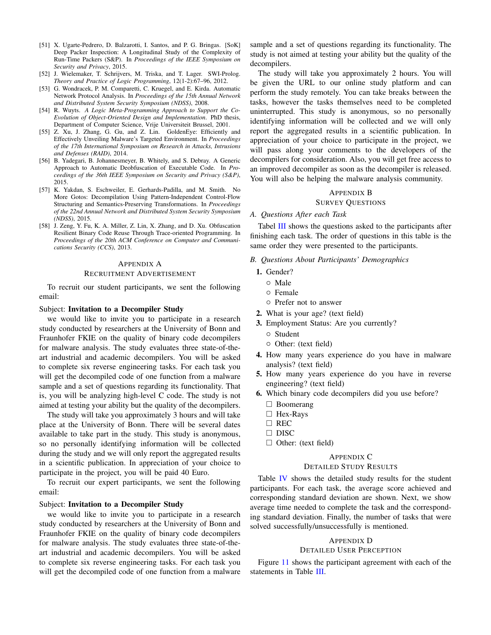- <span id="page-16-9"></span>[51] X. Ugarte-Pedrero, D. Balzarotti, I. Santos, and P. G. Bringas. [SoK] Deep Packer Inspection: A Longitudinal Study of the Complexity of Run-Time Packers (S&P). In *Proceedings of the IEEE Symposium on Security and Privacy*, 2015.
- <span id="page-16-5"></span>[52] J. Wielemaker, T. Schrijvers, M. Triska, and T. Lager. SWI-Prolog. *Theory and Practice of Logic Programming*, 12(1-2):67–96, 2012.
- <span id="page-16-0"></span>[53] G. Wondracek, P. M. Comparetti, C. Kruegel, and E. Kirda. Automatic Network Protocol Analysis. In *Proceedings of the 15th Annual Network and Distributed System Security Symposium (NDSS)*, 2008.
- <span id="page-16-10"></span>[54] R. Wuyts. *A Logic Meta-Programming Approach to Support the Co-Evolution of Object-Oriented Design and Implementation*. PhD thesis, Department of Computer Science, Vrije Universiteit Brussel, 2001.
- <span id="page-16-4"></span>[55] Z. Xu, J. Zhang, G. Gu, and Z. Lin. GoldenEye: Efficiently and Effectively Unveiling Malware's Targeted Environment. In *Proceedings of the 17th International Symposium on Research in Attacks, Intrusions and Defenses (RAID)*, 2014.
- <span id="page-16-2"></span>[56] B. Yadegari, B. Johannesmeyer, B. Whitely, and S. Debray. A Generic Approach to Automatic Deobfuscation of Executable Code. In *Proceedings of the 36th IEEE Symposium on Security and Privacy (S&P)*, 2015.
- <span id="page-16-3"></span>[57] K. Yakdan, S. Eschweiler, E. Gerhards-Padilla, and M. Smith. No More Gotos: Decompilation Using Pattern-Independent Control-Flow Structuring and Semantics-Preserving Transformations. In *Proceedings of the 22nd Annual Network and Distributed System Security Symposium (NDSS)*, 2015.
- <span id="page-16-1"></span>[58] J. Zeng, Y. Fu, K. A. Miller, Z. Lin, X. Zhang, and D. Xu. Obfuscation Resilient Binary Code Reuse Through Trace-oriented Programming. In *Proceedings of the 20th ACM Conference on Computer and Communications Security (CCS)*, 2013.

#### <span id="page-16-7"></span>APPENDIX A

#### RECRUITMENT ADVERTISEMENT

To recruit our student participants, we sent the following email:

## Subject: Invitation to a Decompiler Study

we would like to invite you to participate in a research study conducted by researchers at the University of Bonn and Fraunhofer FKIE on the quality of binary code decompilers for malware analysis. The study evaluates three state-of-theart industrial and academic decompilers. You will be asked to complete six reverse engineering tasks. For each task you will get the decompiled code of one function from a malware sample and a set of questions regarding its functionality. That is, you will be analyzing high-level C code. The study is not aimed at testing your ability but the quality of the decompilers.

The study will take you approximately 3 hours and will take place at the University of Bonn. There will be several dates available to take part in the study. This study is anonymous, so no personally identifying information will be collected during the study and we will only report the aggregated results in a scientific publication. In appreciation of your choice to participate in the project, you will be paid 40 Euro.

To recruit our expert participants, we sent the following email:

#### Subject: Invitation to a Decompiler Study

we would like to invite you to participate in a research study conducted by researchers at the University of Bonn and Fraunhofer FKIE on the quality of binary code decompilers for malware analysis. The study evaluates three state-of-theart industrial and academic decompilers. You will be asked to complete six reverse engineering tasks. For each task you will get the decompiled code of one function from a malware sample and a set of questions regarding its functionality. The study is not aimed at testing your ability but the quality of the decompilers.

The study will take you approximately 2 hours. You will be given the URL to our online study platform and can perform the study remotely. You can take breaks between the tasks, however the tasks themselves need to be completed uninterrupted. This study is anonymous, so no personally identifying information will be collected and we will only report the aggregated results in a scientific publication. In appreciation of your choice to participate in the project, we will pass along your comments to the developers of the decompilers for consideration. Also, you will get free access to an improved decompiler as soon as the decompiler is released. You will also be helping the malware analysis community.

## <span id="page-16-6"></span>APPENDIX B SURVEY QUESTIONS

#### *A. Questions After each Task*

Tabel [III](#page-18-1) shows the questions asked to the participants after finishing each task. The order of questions in this table is the same order they were presented to the participants.

#### *B. Questions About Participants' Demographics*

- 1. Gender?
	- Male
	- Female
	- Prefer not to answer
- 2. What is your age? (text field)
- 3. Employment Status: Are you currently?
	- Student
	- Other: (text field)
- 4. How many years experience do you have in malware analysis? (text field)
- 5. How many years experience do you have in reverse engineering? (text field)
- 6. Which binary code decompilers did you use before?
	- □ Boomerang
	- □ Hex-Rays
	- □ REC
	- $\Box$  DISC
	- $\Box$  Other: (text field)

#### <span id="page-16-8"></span>APPENDIX C

#### DETAILED STUDY RESULTS

Table [IV](#page-18-2) shows the detailed study results for the student participants. For each task, the average score achieved and corresponding standard deviation are shown. Next, we show average time needed to complete the task and the corresponding standard deviation. Finally, the number of tasks that were solved successfully/unsuccessfully is mentioned.

## APPENDIX D

#### DETAILED USER PERCEPTION

Figure [11](#page-17-0) shows the participant agreement with each of the statements in Table [III.](#page-18-1)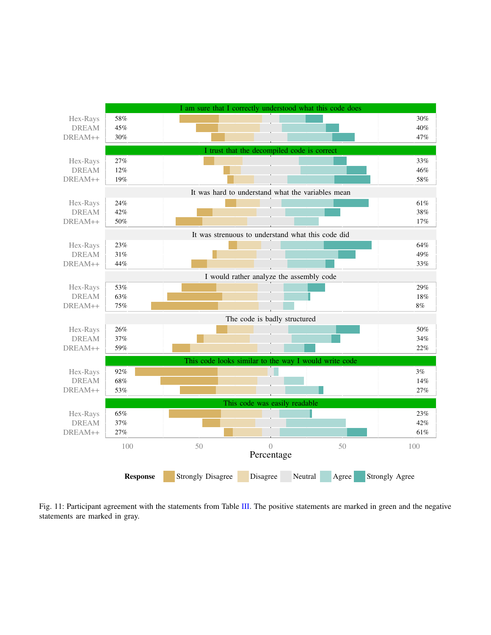<span id="page-17-0"></span>![](_page_17_Figure_0.jpeg)

Fig. 11: Participant agreement with the statements from Table [III.](#page-18-1) The positive statements are marked in green and the negative statements are marked in gray.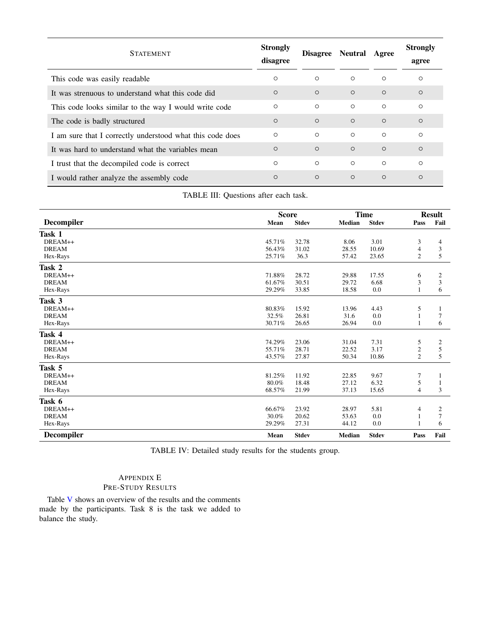<span id="page-18-1"></span>

| <b>STATEMENT</b>                                          | <b>Strongly</b><br>disagree | <b>Disagree</b> | <b>Neutral</b> | Agree   | <b>Strongly</b><br>agree |
|-----------------------------------------------------------|-----------------------------|-----------------|----------------|---------|--------------------------|
| This code was easily readable                             | $\circ$                     | $\circ$         | $\circ$        | $\circ$ | $\circ$                  |
| It was strenuous to understand what this code did         | $\circ$                     | $\circ$         | $\circ$        | $\circ$ | $\circ$                  |
| This code looks similar to the way I would write code     | $\circ$                     | $\circ$         | $\circ$        | $\circ$ | $\circ$                  |
| The code is badly structured                              | $\circ$                     | $\circ$         | $\circ$        | $\circ$ | $\circ$                  |
| I am sure that I correctly understood what this code does | $\circ$                     | $\circ$         | $\circ$        | $\circ$ | $\circ$                  |
| It was hard to understand what the variables mean         | $\circ$                     | $\circ$         | $\circ$        | $\circ$ | $\circ$                  |
| I trust that the decompiled code is correct               | $\circ$                     | $\circ$         | $\circ$        | $\circ$ | $\circ$                  |
| I would rather analyze the assembly code                  | $\circ$                     | $\circ$         | $\circ$        | $\circ$ | $\circ$                  |

TABLE III: Questions after each task.

<span id="page-18-2"></span>

|                   |        | <b>Score</b> |               | <b>Time</b>  |                | <b>Result</b>  |  |
|-------------------|--------|--------------|---------------|--------------|----------------|----------------|--|
| <b>Decompiler</b> | Mean   | <b>Stdev</b> | <b>Median</b> | <b>Stdev</b> | Pass           | Fail           |  |
| Task 1            |        |              |               |              |                |                |  |
| DREAM++           | 45.71% | 32.78        | 8.06          | 3.01         | 3              | 4              |  |
| <b>DREAM</b>      | 56.43% | 31.02        | 28.55         | 10.69        | $\overline{4}$ | $\sqrt{3}$     |  |
| Hex-Rays          | 25.71% | 36.3         | 57.42         | 23.65        | $\overline{c}$ | 5              |  |
| Task 2            |        |              |               |              |                |                |  |
| DREAM++           | 71.88% | 28.72        | 29.88         | 17.55        | 6              |                |  |
| <b>DREAM</b>      | 61.67% | 30.51        | 29.72         | 6.68         | 3              | $\frac{2}{3}$  |  |
| Hex-Rays          | 29.29% | 33.85        | 18.58         | 0.0          |                | 6              |  |
| Task 3            |        |              |               |              |                |                |  |
| DREAM++           | 80.83% | 15.92        | 13.96         | 4.43         | 5              | 1              |  |
| <b>DREAM</b>      | 32.5%  | 26.81        | 31.6          | 0.0          |                | $\overline{7}$ |  |
| Hex-Rays          | 30.71% | 26.65        | 26.94         | 0.0          |                | 6              |  |
| Task 4            |        |              |               |              |                |                |  |
| DREAM++           | 74.29% | 23.06        | 31.04         | 7.31         | 5              |                |  |
| <b>DREAM</b>      | 55.71% | 28.71        | 22.52         | 3.17         | $\mathfrak{2}$ | $\frac{2}{5}$  |  |
| Hex-Rays          | 43.57% | 27.87        | 50.34         | 10.86        | $\overline{c}$ | 5              |  |
| Task 5            |        |              |               |              |                |                |  |
| DREAM++           | 81.25% | 11.92        | 22.85         | 9.67         | 7              | 1              |  |
| <b>DREAM</b>      | 80.0%  | 18.48        | 27.12         | 6.32         | 5              | $\mathbf{1}$   |  |
| Hex-Rays          | 68.57% | 21.99        | 37.13         | 15.65        | $\overline{4}$ | 3              |  |
| Task 6            |        |              |               |              |                |                |  |
| DREAM++           | 66.67% | 23.92        | 28.97         | 5.81         | 4              |                |  |
| <b>DREAM</b>      | 30.0%  | 20.62        | 53.63         | 0.0          |                | $\frac{2}{7}$  |  |
| Hex-Rays          | 29.29% | 27.31        | 44.12         | 0.0          |                | 6              |  |
| Decompiler        | Mean   | <b>Stdev</b> | <b>Median</b> | <b>Stdev</b> | Pass           | Fail           |  |

TABLE IV: Detailed study results for the students group.

# <span id="page-18-0"></span>APPENDIX E PRE-STUDY RESULTS

Table [V](#page-19-0) shows an overview of the results and the comments made by the participants. Task 8 is the task we added to balance the study.